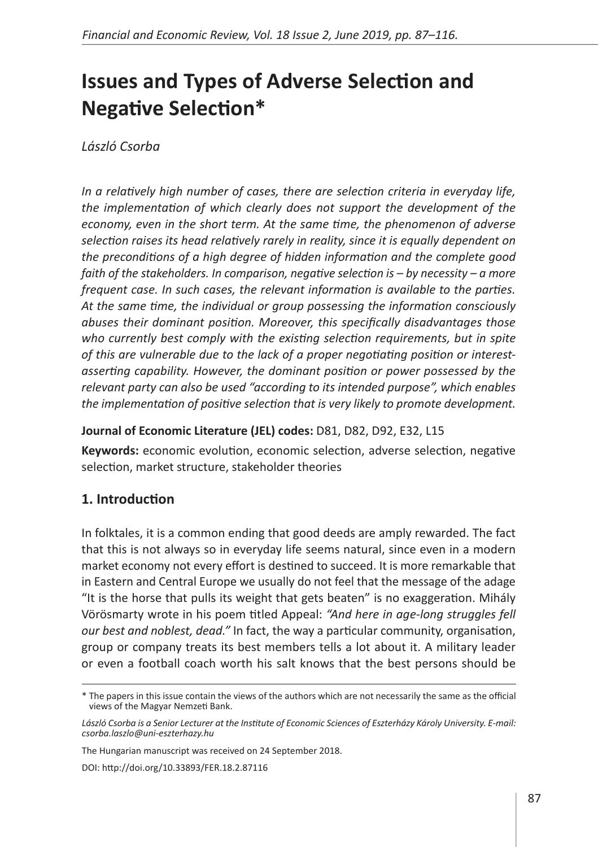# **Issues and Types of Adverse Selection and Negative Selection\***

*László Csorba*

*In a relatively high number of cases, there are selection criteria in everyday life, the implementation of which clearly does not support the development of the economy, even in the short term. At the same time, the phenomenon of adverse selection raises its head relatively rarely in reality, since it is equally dependent on the preconditions of a high degree of hidden information and the complete good faith of the stakeholders. In comparison, negative selection is – by necessity – a more frequent case. In such cases, the relevant information is available to the parties. At the same time, the individual or group possessing the information consciously abuses their dominant position. Moreover, this specifically disadvantages those who currently best comply with the existing selection requirements, but in spite of this are vulnerable due to the lack of a proper negotiating position or interestasserting capability. However, the dominant position or power possessed by the relevant party can also be used "according to its intended purpose", which enables the implementation of positive selection that is very likely to promote development.*

#### **Journal of Economic Literature (JEL) codes:** D81, D82, D92, E32, L15

**Keywords:** economic evolution, economic selection, adverse selection, negative selection, market structure, stakeholder theories

## **1. Introduction**

In folktales, it is a common ending that good deeds are amply rewarded. The fact that this is not always so in everyday life seems natural, since even in a modern market economy not every effort is destined to succeed. It is more remarkable that in Eastern and Central Europe we usually do not feel that the message of the adage "It is the horse that pulls its weight that gets beaten" is no exaggeration. Mihály Vörösmarty wrote in his poem titled Appeal: *"And here in age-long struggles fell our best and noblest, dead."* In fact, the way a particular community, organisation, group or company treats its best members tells a lot about it. A military leader or even a football coach worth his salt knows that the best persons should be

The Hungarian manuscript was received on 24 September 2018.

DOI:<http://doi.org/10.33893/FER.18.2.87116>

<sup>\*</sup> The papers in this issue contain the views of the authors which are not necessarily the same as the official views of the Magyar Nemzeti Bank.

*László Csorba is a Senior Lecturer at the Institute of Economic Sciences of Eszterházy Károly University. E-mail: csorba.laszlo@uni-eszterhazy.hu*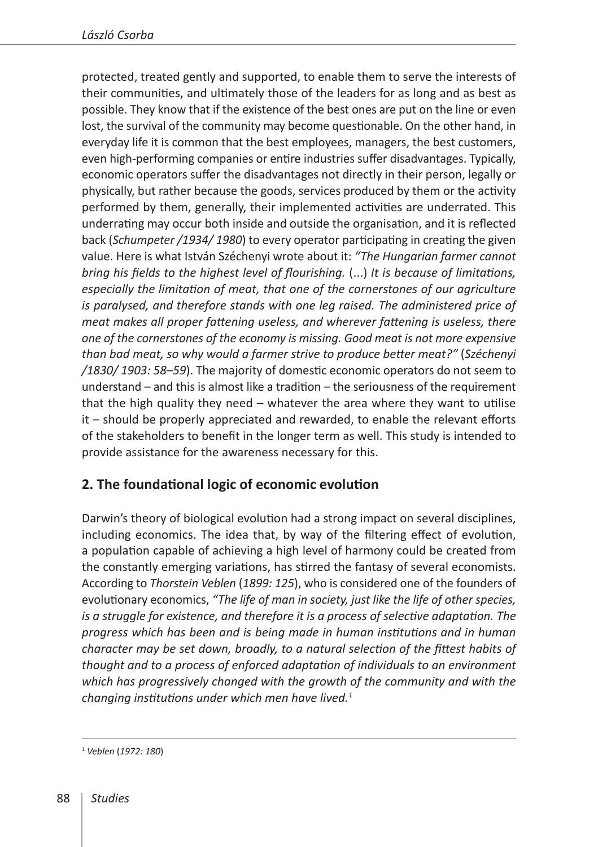protected, treated gently and supported, to enable them to serve the interests of their communities, and ultimately those of the leaders for as long and as best as possible. They know that if the existence of the best ones are put on the line or even lost, the survival of the community may become questionable. On the other hand, in everyday life it is common that the best employees, managers, the best customers, even high-performing companies or entire industries suffer disadvantages. Typically, economic operators suffer the disadvantages not directly in their person, legally or physically, but rather because the goods, services produced by them or the activity performed by them, generally, their implemented activities are underrated. This underrating may occur both inside and outside the organisation, and it is reflected back (*Schumpeter /1934/ 1980*) to every operator participating in creating the given value. Here is what István Széchenyi wrote about it: *"The Hungarian farmer cannot bring his fields to the highest level of flourishing.* (...) *It is because of limitations, especially the limitation of meat, that one of the cornerstones of our agriculture is paralysed, and therefore stands with one leg raised. The administered price of meat makes all proper fattening useless, and wherever fattening is useless, there one of the cornerstones of the economy is missing. Good meat is not more expensive than bad meat, so why would a farmer strive to produce better meat?"* (*Széchenyi /1830/ 1903: 58–59*). The majority of domestic economic operators do not seem to understand – and this is almost like a tradition – the seriousness of the requirement that the high quality they need – whatever the area where they want to utilise it – should be properly appreciated and rewarded, to enable the relevant efforts of the stakeholders to benefit in the longer term as well. This study is intended to provide assistance for the awareness necessary for this.

## **2. The foundational logic of economic evolution**

Darwin's theory of biological evolution had a strong impact on several disciplines, including economics. The idea that, by way of the filtering effect of evolution, a population capable of achieving a high level of harmony could be created from the constantly emerging variations, has stirred the fantasy of several economists. According to *Thorstein Veblen* (*1899: 125*), who is considered one of the founders of evolutionary economics, *"The life of man in society, just like the life of other species, is a struggle for existence, and therefore it is a process of selective adaptation. The progress which has been and is being made in human institutions and in human character may be set down, broadly, to a natural selection of the fittest habits of thought and to a process of enforced adaptation of individuals to an environment which has progressively changed with the growth of the community and with the changing institutions under which men have lived.<sup>1</sup>*

<sup>1</sup> *Veblen* (*1972: 180*)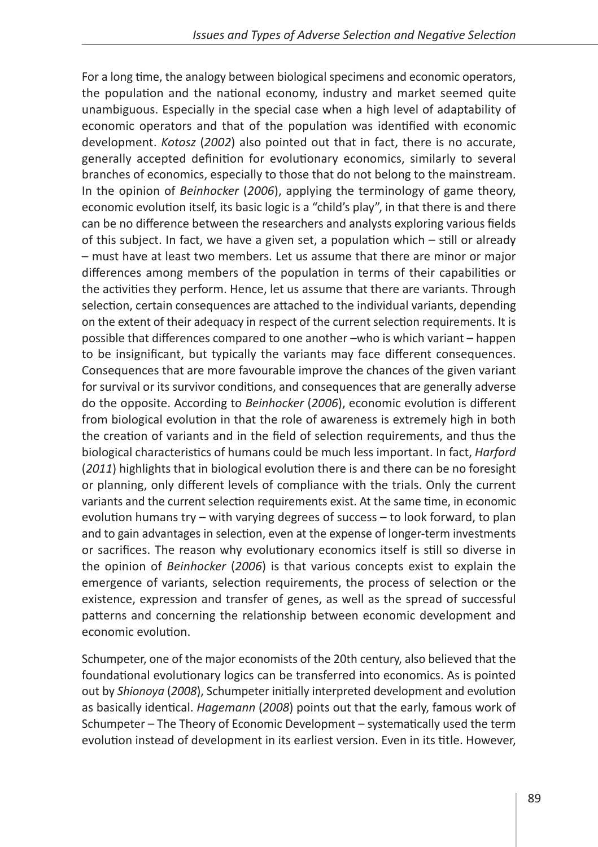For a long time, the analogy between biological specimens and economic operators, the population and the national economy, industry and market seemed quite unambiguous. Especially in the special case when a high level of adaptability of economic operators and that of the population was identified with economic development. *Kotosz* (*2002*) also pointed out that in fact, there is no accurate, generally accepted definition for evolutionary economics, similarly to several branches of economics, especially to those that do not belong to the mainstream. In the opinion of *Beinhocker* (*2006*), applying the terminology of game theory, economic evolution itself, its basic logic is a "child's play", in that there is and there can be no difference between the researchers and analysts exploring various fields of this subject. In fact, we have a given set, a population which – still or already – must have at least two members. Let us assume that there are minor or major differences among members of the population in terms of their capabilities or the activities they perform. Hence, let us assume that there are variants. Through selection, certain consequences are attached to the individual variants, depending on the extent of their adequacy in respect of the current selection requirements. It is possible that differences compared to one another –who is which variant – happen to be insignificant, but typically the variants may face different consequences. Consequences that are more favourable improve the chances of the given variant for survival or its survivor conditions, and consequences that are generally adverse do the opposite. According to *Beinhocker* (*2006*), economic evolution is different from biological evolution in that the role of awareness is extremely high in both the creation of variants and in the field of selection requirements, and thus the biological characteristics of humans could be much less important. In fact, *Harford* (*2011*) highlights that in biological evolution there is and there can be no foresight or planning, only different levels of compliance with the trials. Only the current variants and the current selection requirements exist. At the same time, in economic evolution humans try – with varying degrees of success – to look forward, to plan and to gain advantages in selection, even at the expense of longer-term investments or sacrifices. The reason why evolutionary economics itself is still so diverse in the opinion of *Beinhocker* (*2006*) is that various concepts exist to explain the emergence of variants, selection requirements, the process of selection or the existence, expression and transfer of genes, as well as the spread of successful patterns and concerning the relationship between economic development and economic evolution.

Schumpeter, one of the major economists of the 20th century, also believed that the foundational evolutionary logics can be transferred into economics. As is pointed out by *Shionoya* (*2008*), Schumpeter initially interpreted development and evolution as basically identical. *Hagemann* (*2008*) points out that the early, famous work of Schumpeter – The Theory of Economic Development – systematically used the term evolution instead of development in its earliest version. Even in its title. However,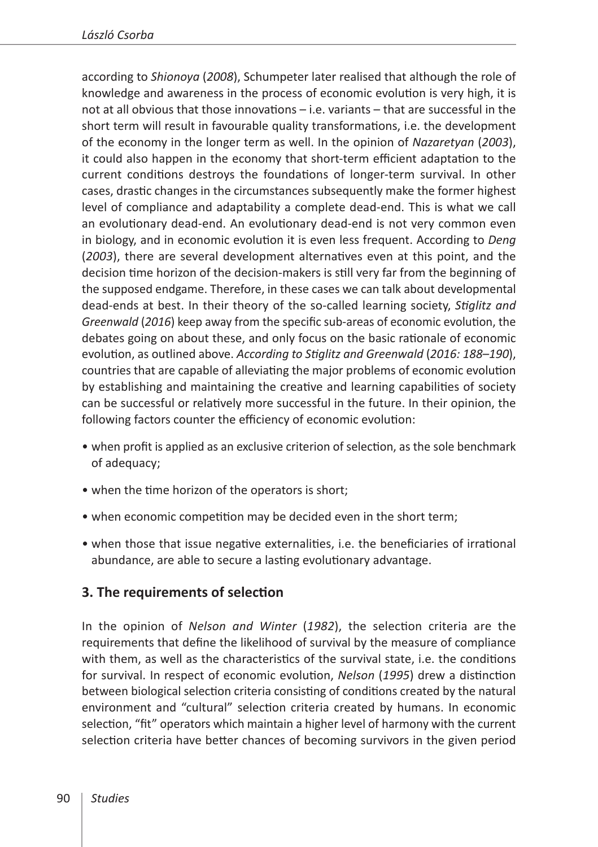according to *Shionoya* (*2008*), Schumpeter later realised that although the role of knowledge and awareness in the process of economic evolution is very high, it is not at all obvious that those innovations – i.e. variants – that are successful in the short term will result in favourable quality transformations, i.e. the development of the economy in the longer term as well. In the opinion of *Nazaretyan* (*2003*), it could also happen in the economy that short-term efficient adaptation to the current conditions destroys the foundations of longer-term survival. In other cases, drastic changes in the circumstances subsequently make the former highest level of compliance and adaptability a complete dead-end. This is what we call an evolutionary dead-end. An evolutionary dead-end is not very common even in biology, and in economic evolution it is even less frequent. According to *Deng* (*2003*), there are several development alternatives even at this point, and the decision time horizon of the decision-makers is still very far from the beginning of the supposed endgame. Therefore, in these cases we can talk about developmental dead-ends at best. In their theory of the so-called learning society, *Stiglitz and Greenwald* (*2016*) keep away from the specific sub-areas of economic evolution, the debates going on about these, and only focus on the basic rationale of economic evolution, as outlined above. *According to Stiglitz and Greenwald* (*2016: 188–190*), countries that are capable of alleviating the major problems of economic evolution by establishing and maintaining the creative and learning capabilities of society can be successful or relatively more successful in the future. In their opinion, the following factors counter the efficiency of economic evolution:

- when profit is applied as an exclusive criterion of selection, as the sole benchmark of adequacy;
- when the time horizon of the operators is short;
- when economic competition may be decided even in the short term;
- when those that issue negative externalities, i.e. the beneficiaries of irrational abundance, are able to secure a lasting evolutionary advantage.

## **3. The requirements of selection**

In the opinion of *Nelson and Winter* (*1982*), the selection criteria are the requirements that define the likelihood of survival by the measure of compliance with them, as well as the characteristics of the survival state, i.e. the conditions for survival. In respect of economic evolution, *Nelson* (*1995*) drew a distinction between biological selection criteria consisting of conditions created by the natural environment and "cultural" selection criteria created by humans. In economic selection, "fit" operators which maintain a higher level of harmony with the current selection criteria have better chances of becoming survivors in the given period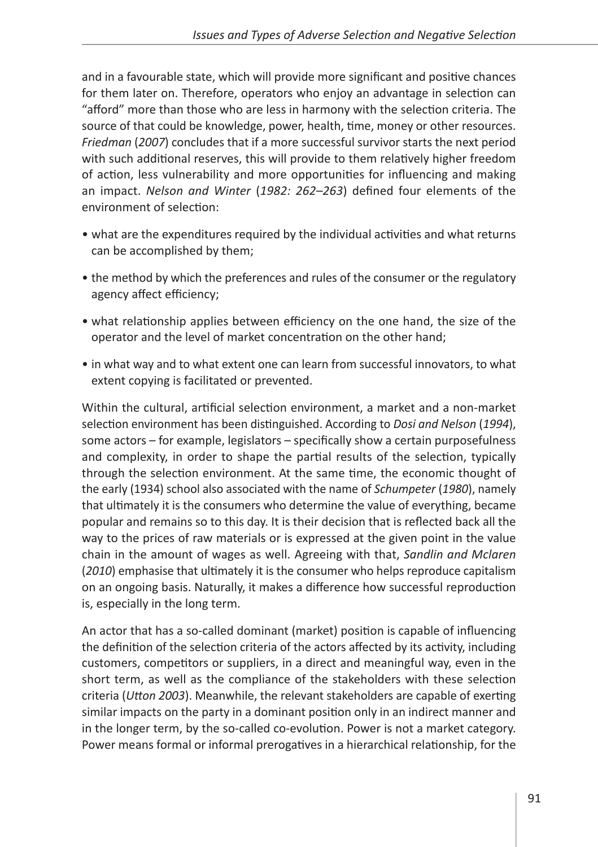and in a favourable state, which will provide more significant and positive chances for them later on. Therefore, operators who enjoy an advantage in selection can "afford" more than those who are less in harmony with the selection criteria. The source of that could be knowledge, power, health, time, money or other resources. *Friedman* (*2007*) concludes that if a more successful survivor starts the next period with such additional reserves, this will provide to them relatively higher freedom of action, less vulnerability and more opportunities for influencing and making an impact. *Nelson and Winter* (*1982: 262–263*) defined four elements of the environment of selection:

- what are the expenditures required by the individual activities and what returns can be accomplished by them;
- the method by which the preferences and rules of the consumer or the regulatory agency affect efficiency;
- what relationship applies between efficiency on the one hand, the size of the operator and the level of market concentration on the other hand;
- in what way and to what extent one can learn from successful innovators, to what extent copying is facilitated or prevented.

Within the cultural, artificial selection environment, a market and a non-market selection environment has been distinguished. According to *Dosi and Nelson* (*1994*), some actors – for example, legislators – specifically show a certain purposefulness and complexity, in order to shape the partial results of the selection, typically through the selection environment. At the same time, the economic thought of the early (1934) school also associated with the name of *Schumpeter* (*1980*), namely that ultimately it is the consumers who determine the value of everything, became popular and remains so to this day. It is their decision that is reflected back all the way to the prices of raw materials or is expressed at the given point in the value chain in the amount of wages as well. Agreeing with that, *Sandlin and Mclaren* (*2010*) emphasise that ultimately it is the consumer who helps reproduce capitalism on an ongoing basis. Naturally, it makes a difference how successful reproduction is, especially in the long term.

An actor that has a so-called dominant (market) position is capable of influencing the definition of the selection criteria of the actors affected by its activity, including customers, competitors or suppliers, in a direct and meaningful way, even in the short term, as well as the compliance of the stakeholders with these selection criteria (*Utton 2003*). Meanwhile, the relevant stakeholders are capable of exerting similar impacts on the party in a dominant position only in an indirect manner and in the longer term, by the so-called co-evolution. Power is not a market category. Power means formal or informal prerogatives in a hierarchical relationship, for the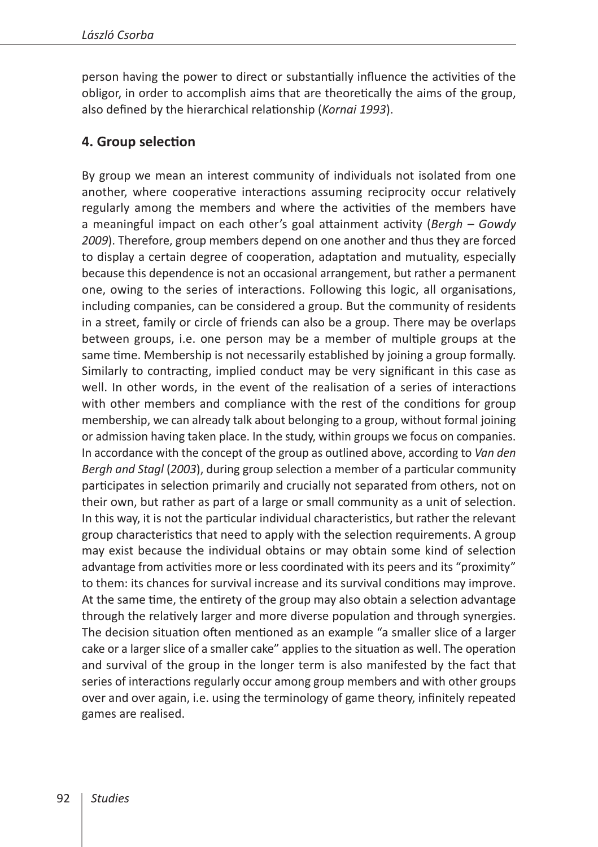person having the power to direct or substantially influence the activities of the obligor, in order to accomplish aims that are theoretically the aims of the group, also defined by the hierarchical relationship (*Kornai 1993*).

#### **4. Group selection**

By group we mean an interest community of individuals not isolated from one another, where cooperative interactions assuming reciprocity occur relatively regularly among the members and where the activities of the members have a meaningful impact on each other's goal attainment activity (*Bergh – Gowdy 2009*). Therefore, group members depend on one another and thus they are forced to display a certain degree of cooperation, adaptation and mutuality, especially because this dependence is not an occasional arrangement, but rather a permanent one, owing to the series of interactions. Following this logic, all organisations, including companies, can be considered a group. But the community of residents in a street, family or circle of friends can also be a group. There may be overlaps between groups, i.e. one person may be a member of multiple groups at the same time. Membership is not necessarily established by joining a group formally. Similarly to contracting, implied conduct may be very significant in this case as well. In other words, in the event of the realisation of a series of interactions with other members and compliance with the rest of the conditions for group membership, we can already talk about belonging to a group, without formal joining or admission having taken place. In the study, within groups we focus on companies. In accordance with the concept of the group as outlined above, according to *Van den Bergh and Stagl* (*2003*), during group selection a member of a particular community participates in selection primarily and crucially not separated from others, not on their own, but rather as part of a large or small community as a unit of selection. In this way, it is not the particular individual characteristics, but rather the relevant group characteristics that need to apply with the selection requirements. A group may exist because the individual obtains or may obtain some kind of selection advantage from activities more or less coordinated with its peers and its "proximity" to them: its chances for survival increase and its survival conditions may improve. At the same time, the entirety of the group may also obtain a selection advantage through the relatively larger and more diverse population and through synergies. The decision situation often mentioned as an example "a smaller slice of a larger cake or a larger slice of a smaller cake" applies to the situation as well. The operation and survival of the group in the longer term is also manifested by the fact that series of interactions regularly occur among group members and with other groups over and over again, i.e. using the terminology of game theory, infinitely repeated games are realised.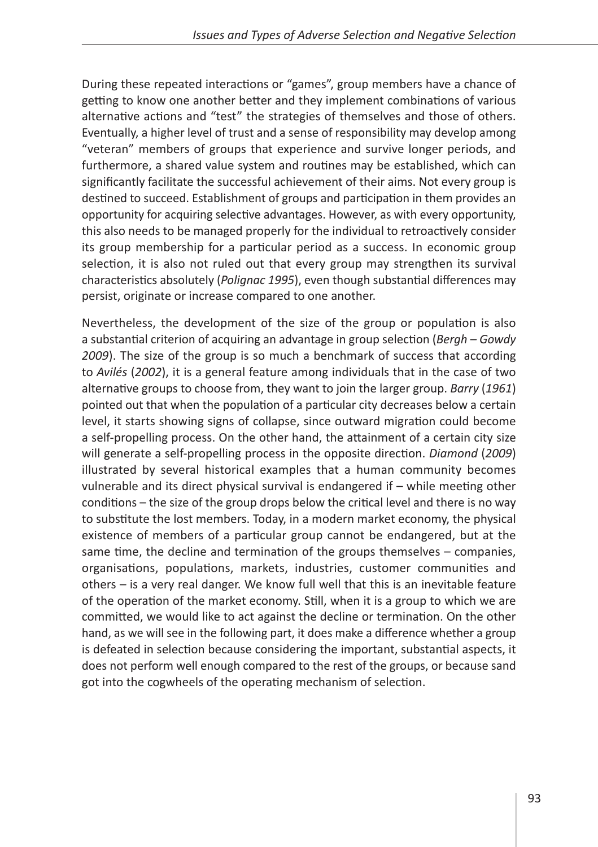During these repeated interactions or "games", group members have a chance of getting to know one another better and they implement combinations of various alternative actions and "test" the strategies of themselves and those of others. Eventually, a higher level of trust and a sense of responsibility may develop among "veteran" members of groups that experience and survive longer periods, and furthermore, a shared value system and routines may be established, which can significantly facilitate the successful achievement of their aims. Not every group is destined to succeed. Establishment of groups and participation in them provides an opportunity for acquiring selective advantages. However, as with every opportunity, this also needs to be managed properly for the individual to retroactively consider its group membership for a particular period as a success. In economic group selection, it is also not ruled out that every group may strengthen its survival characteristics absolutely (*Polignac 1995*), even though substantial differences may persist, originate or increase compared to one another.

Nevertheless, the development of the size of the group or population is also a substantial criterion of acquiring an advantage in group selection (*Bergh – Gowdy 2009*). The size of the group is so much a benchmark of success that according to *Avilés* (*2002*), it is a general feature among individuals that in the case of two alternative groups to choose from, they want to join the larger group. *Barry* (*1961*) pointed out that when the population of a particular city decreases below a certain level, it starts showing signs of collapse, since outward migration could become a self-propelling process. On the other hand, the attainment of a certain city size will generate a self-propelling process in the opposite direction. *Diamond* (*2009*) illustrated by several historical examples that a human community becomes vulnerable and its direct physical survival is endangered if – while meeting other conditions – the size of the group drops below the critical level and there is no way to substitute the lost members. Today, in a modern market economy, the physical existence of members of a particular group cannot be endangered, but at the same time, the decline and termination of the groups themselves – companies, organisations, populations, markets, industries, customer communities and others – is a very real danger. We know full well that this is an inevitable feature of the operation of the market economy. Still, when it is a group to which we are committed, we would like to act against the decline or termination. On the other hand, as we will see in the following part, it does make a difference whether a group is defeated in selection because considering the important, substantial aspects, it does not perform well enough compared to the rest of the groups, or because sand got into the cogwheels of the operating mechanism of selection.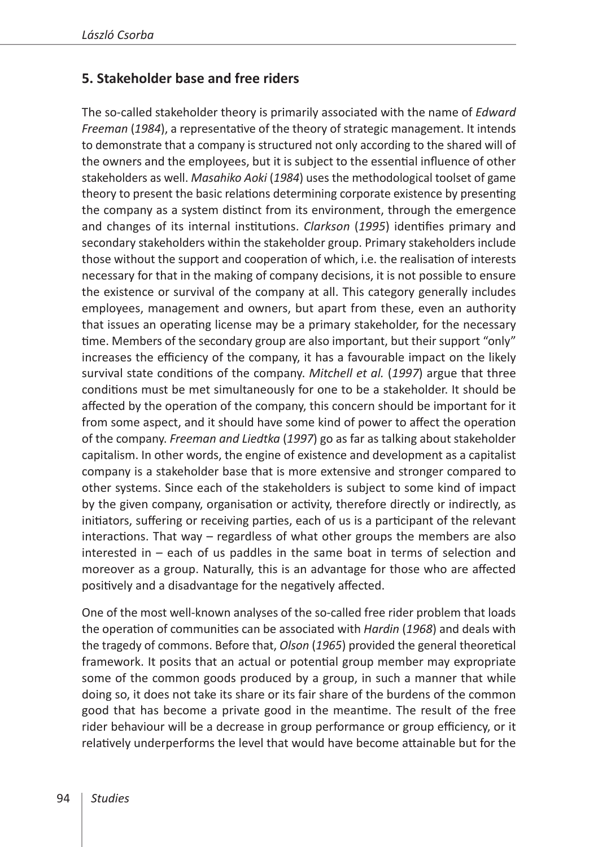#### **5. Stakeholder base and free riders**

The so-called stakeholder theory is primarily associated with the name of *Edward Freeman* (*1984*), a representative of the theory of strategic management. It intends to demonstrate that a company is structured not only according to the shared will of the owners and the employees, but it is subject to the essential influence of other stakeholders as well. *Masahiko Aoki* (*1984*) uses the methodological toolset of game theory to present the basic relations determining corporate existence by presenting the company as a system distinct from its environment, through the emergence and changes of its internal institutions. *Clarkson* (*1995*) identifies primary and secondary stakeholders within the stakeholder group. Primary stakeholders include those without the support and cooperation of which, i.e. the realisation of interests necessary for that in the making of company decisions, it is not possible to ensure the existence or survival of the company at all. This category generally includes employees, management and owners, but apart from these, even an authority that issues an operating license may be a primary stakeholder, for the necessary time. Members of the secondary group are also important, but their support "only" increases the efficiency of the company, it has a favourable impact on the likely survival state conditions of the company. *Mitchell et al.* (*1997*) argue that three conditions must be met simultaneously for one to be a stakeholder. It should be affected by the operation of the company, this concern should be important for it from some aspect, and it should have some kind of power to affect the operation of the company. *Freeman and Liedtka* (*1997*) go as far as talking about stakeholder capitalism. In other words, the engine of existence and development as a capitalist company is a stakeholder base that is more extensive and stronger compared to other systems. Since each of the stakeholders is subject to some kind of impact by the given company, organisation or activity, therefore directly or indirectly, as initiators, suffering or receiving parties, each of us is a participant of the relevant interactions. That way – regardless of what other groups the members are also interested in – each of us paddles in the same boat in terms of selection and moreover as a group. Naturally, this is an advantage for those who are affected positively and a disadvantage for the negatively affected.

One of the most well-known analyses of the so-called free rider problem that loads the operation of communities can be associated with *Hardin* (*1968*) and deals with the tragedy of commons. Before that, *Olson* (*1965*) provided the general theoretical framework. It posits that an actual or potential group member may expropriate some of the common goods produced by a group, in such a manner that while doing so, it does not take its share or its fair share of the burdens of the common good that has become a private good in the meantime. The result of the free rider behaviour will be a decrease in group performance or group efficiency, or it relatively underperforms the level that would have become attainable but for the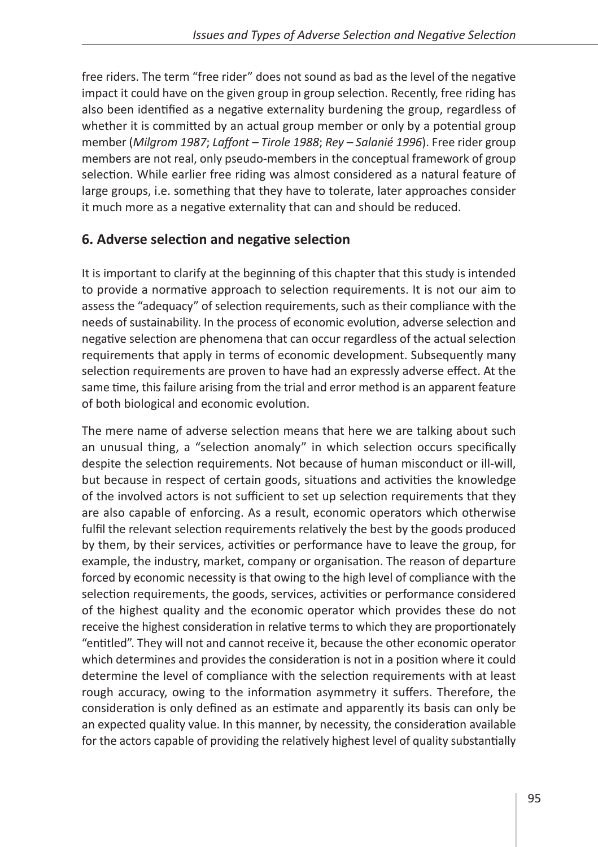free riders. The term "free rider" does not sound as bad as the level of the negative impact it could have on the given group in group selection. Recently, free riding has also been identified as a negative externality burdening the group, regardless of whether it is committed by an actual group member or only by a potential group member (*Milgrom 1987*; *Laffont – Tirole 1988*; *Rey – Salanié 1996*). Free rider group members are not real, only pseudo-members in the conceptual framework of group selection. While earlier free riding was almost considered as a natural feature of large groups, i.e. something that they have to tolerate, later approaches consider it much more as a negative externality that can and should be reduced.

# **6. Adverse selection and negative selection**

It is important to clarify at the beginning of this chapter that this study is intended to provide a normative approach to selection requirements. It is not our aim to assess the "adequacy" of selection requirements, such as their compliance with the needs of sustainability. In the process of economic evolution, adverse selection and negative selection are phenomena that can occur regardless of the actual selection requirements that apply in terms of economic development. Subsequently many selection requirements are proven to have had an expressly adverse effect. At the same time, this failure arising from the trial and error method is an apparent feature of both biological and economic evolution.

The mere name of adverse selection means that here we are talking about such an unusual thing, a "selection anomaly" in which selection occurs specifically despite the selection requirements. Not because of human misconduct or ill-will, but because in respect of certain goods, situations and activities the knowledge of the involved actors is not sufficient to set up selection requirements that they are also capable of enforcing. As a result, economic operators which otherwise fulfil the relevant selection requirements relatively the best by the goods produced by them, by their services, activities or performance have to leave the group, for example, the industry, market, company or organisation. The reason of departure forced by economic necessity is that owing to the high level of compliance with the selection requirements, the goods, services, activities or performance considered of the highest quality and the economic operator which provides these do not receive the highest consideration in relative terms to which they are proportionately "entitled". They will not and cannot receive it, because the other economic operator which determines and provides the consideration is not in a position where it could determine the level of compliance with the selection requirements with at least rough accuracy, owing to the information asymmetry it suffers. Therefore, the consideration is only defined as an estimate and apparently its basis can only be an expected quality value. In this manner, by necessity, the consideration available for the actors capable of providing the relatively highest level of quality substantially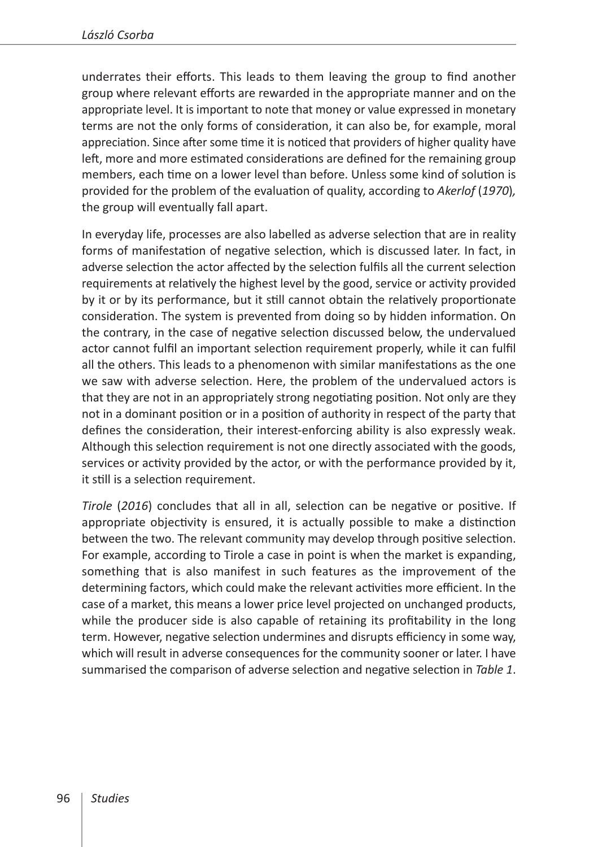underrates their efforts. This leads to them leaving the group to find another group where relevant efforts are rewarded in the appropriate manner and on the appropriate level. It is important to note that money or value expressed in monetary terms are not the only forms of consideration, it can also be, for example, moral appreciation. Since after some time it is noticed that providers of higher quality have left, more and more estimated considerations are defined for the remaining group members, each time on a lower level than before. Unless some kind of solution is provided for the problem of the evaluation of quality, according to *Akerlof* (*1970*)*,*  the group will eventually fall apart.

In everyday life, processes are also labelled as adverse selection that are in reality forms of manifestation of negative selection, which is discussed later. In fact, in adverse selection the actor affected by the selection fulfils all the current selection requirements at relatively the highest level by the good, service or activity provided by it or by its performance, but it still cannot obtain the relatively proportionate consideration. The system is prevented from doing so by hidden information. On the contrary, in the case of negative selection discussed below, the undervalued actor cannot fulfil an important selection requirement properly, while it can fulfil all the others. This leads to a phenomenon with similar manifestations as the one we saw with adverse selection. Here, the problem of the undervalued actors is that they are not in an appropriately strong negotiating position. Not only are they not in a dominant position or in a position of authority in respect of the party that defines the consideration, their interest-enforcing ability is also expressly weak. Although this selection requirement is not one directly associated with the goods, services or activity provided by the actor, or with the performance provided by it, it still is a selection requirement.

*Tirole* (*2016*) concludes that all in all, selection can be negative or positive. If appropriate objectivity is ensured, it is actually possible to make a distinction between the two. The relevant community may develop through positive selection. For example, according to Tirole a case in point is when the market is expanding, something that is also manifest in such features as the improvement of the determining factors, which could make the relevant activities more efficient. In the case of a market, this means a lower price level projected on unchanged products, while the producer side is also capable of retaining its profitability in the long term. However, negative selection undermines and disrupts efficiency in some way, which will result in adverse consequences for the community sooner or later. I have summarised the comparison of adverse selection and negative selection in *Table 1*.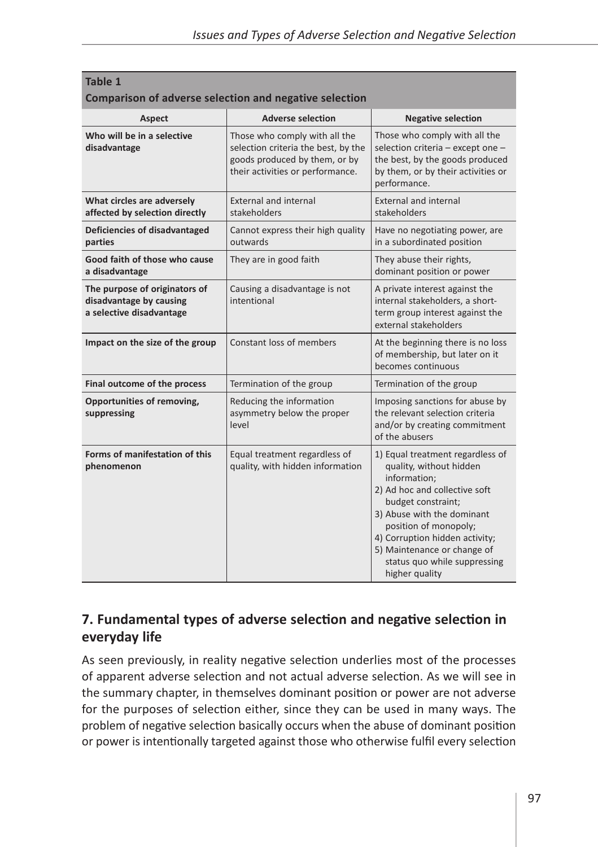| rapie 1<br>Comparison of adverse selection and negative selection                    |                                                                                                                                           |                                                                                                                                                                                                                                                                                                              |  |
|--------------------------------------------------------------------------------------|-------------------------------------------------------------------------------------------------------------------------------------------|--------------------------------------------------------------------------------------------------------------------------------------------------------------------------------------------------------------------------------------------------------------------------------------------------------------|--|
| Aspect                                                                               | <b>Adverse selection</b>                                                                                                                  | <b>Negative selection</b>                                                                                                                                                                                                                                                                                    |  |
| Who will be in a selective<br>disadvantage                                           | Those who comply with all the<br>selection criteria the best, by the<br>goods produced by them, or by<br>their activities or performance. | Those who comply with all the<br>selection criteria - except one -<br>the best, by the goods produced<br>by them, or by their activities or<br>performance.                                                                                                                                                  |  |
| What circles are adversely<br>affected by selection directly                         | External and internal<br>stakeholders                                                                                                     | <b>External and internal</b><br>stakeholders                                                                                                                                                                                                                                                                 |  |
| Deficiencies of disadvantaged<br>parties                                             | Cannot express their high quality<br>outwards                                                                                             | Have no negotiating power, are<br>in a subordinated position                                                                                                                                                                                                                                                 |  |
| Good faith of those who cause<br>a disadvantage                                      | They are in good faith                                                                                                                    | They abuse their rights,<br>dominant position or power                                                                                                                                                                                                                                                       |  |
| The purpose of originators of<br>disadvantage by causing<br>a selective disadvantage | Causing a disadvantage is not<br>intentional                                                                                              | A private interest against the<br>internal stakeholders, a short-<br>term group interest against the<br>external stakeholders                                                                                                                                                                                |  |
| Impact on the size of the group                                                      | Constant loss of members                                                                                                                  | At the beginning there is no loss<br>of membership, but later on it<br>becomes continuous                                                                                                                                                                                                                    |  |
| Final outcome of the process                                                         | Termination of the group                                                                                                                  | Termination of the group                                                                                                                                                                                                                                                                                     |  |
| Opportunities of removing,<br>suppressing                                            | Reducing the information<br>asymmetry below the proper<br>level                                                                           | Imposing sanctions for abuse by<br>the relevant selection criteria<br>and/or by creating commitment<br>of the abusers                                                                                                                                                                                        |  |
| Forms of manifestation of this<br>phenomenon                                         | Equal treatment regardless of<br>quality, with hidden information                                                                         | 1) Equal treatment regardless of<br>quality, without hidden<br>information;<br>2) Ad hoc and collective soft<br>budget constraint;<br>3) Abuse with the dominant<br>position of monopoly;<br>4) Corruption hidden activity;<br>5) Maintenance or change of<br>status quo while suppressing<br>higher quality |  |

**Table 1**

# **7. Fundamental types of adverse selection and negative selection in everyday life**

As seen previously, in reality negative selection underlies most of the processes of apparent adverse selection and not actual adverse selection. As we will see in the summary chapter, in themselves dominant position or power are not adverse for the purposes of selection either, since they can be used in many ways. The problem of negative selection basically occurs when the abuse of dominant position or power is intentionally targeted against those who otherwise fulfil every selection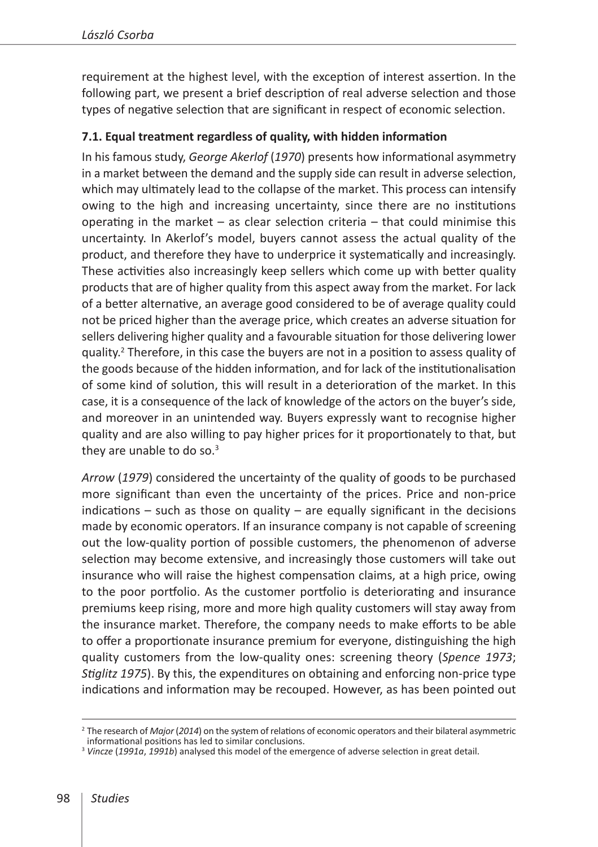requirement at the highest level, with the exception of interest assertion. In the following part, we present a brief description of real adverse selection and those types of negative selection that are significant in respect of economic selection.

#### **7.1. Equal treatment regardless of quality, with hidden information**

In his famous study, *George Akerlof* (*1970*) presents how informational asymmetry in a market between the demand and the supply side can result in adverse selection, which may ultimately lead to the collapse of the market. This process can intensify owing to the high and increasing uncertainty, since there are no institutions operating in the market – as clear selection criteria – that could minimise this uncertainty. In Akerlof's model, buyers cannot assess the actual quality of the product, and therefore they have to underprice it systematically and increasingly. These activities also increasingly keep sellers which come up with better quality products that are of higher quality from this aspect away from the market. For lack of a better alternative, an average good considered to be of average quality could not be priced higher than the average price, which creates an adverse situation for sellers delivering higher quality and a favourable situation for those delivering lower quality.2 Therefore, in this case the buyers are not in a position to assess quality of the goods because of the hidden information, and for lack of the institutionalisation of some kind of solution, this will result in a deterioration of the market. In this case, it is a consequence of the lack of knowledge of the actors on the buyer's side, and moreover in an unintended way. Buyers expressly want to recognise higher quality and are also willing to pay higher prices for it proportionately to that, but they are unable to do so. $3$ 

*Arrow* (*1979*) considered the uncertainty of the quality of goods to be purchased more significant than even the uncertainty of the prices. Price and non-price indications  $-$  such as those on quality  $-$  are equally significant in the decisions made by economic operators. If an insurance company is not capable of screening out the low-quality portion of possible customers, the phenomenon of adverse selection may become extensive, and increasingly those customers will take out insurance who will raise the highest compensation claims, at a high price, owing to the poor portfolio. As the customer portfolio is deteriorating and insurance premiums keep rising, more and more high quality customers will stay away from the insurance market. Therefore, the company needs to make efforts to be able to offer a proportionate insurance premium for everyone, distinguishing the high quality customers from the low-quality ones: screening theory (*Spence 1973*; *Stiglitz 1975*). By this, the expenditures on obtaining and enforcing non-price type indications and information may be recouped. However, as has been pointed out

<sup>2</sup> The research of *Major* (*2014*) on the system of relations of economic operators and their bilateral asymmetric informational positions has led to similar conclusions.

<sup>3</sup> *Vincze* (*1991a*, *1991b*) analysed this model of the emergence of adverse selection in great detail.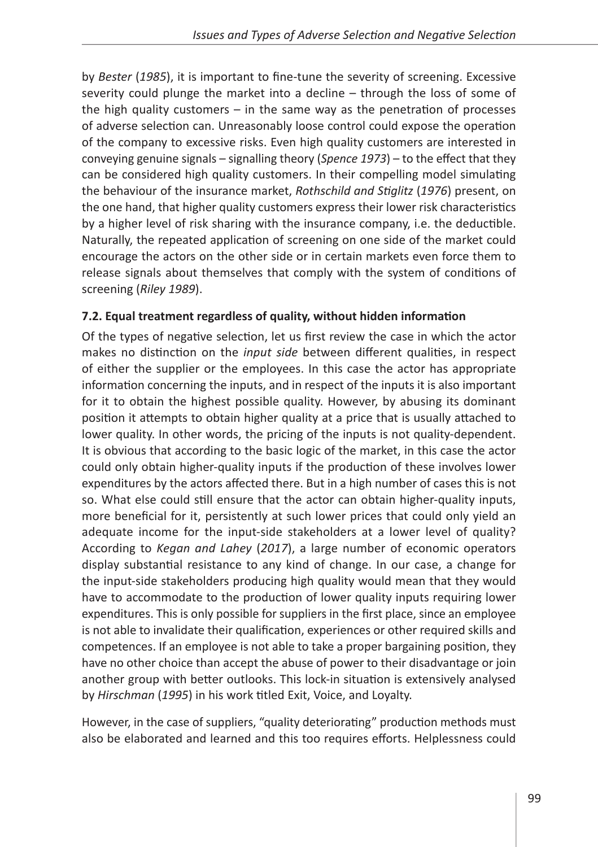by *Bester* (*1985*), it is important to fine-tune the severity of screening. Excessive severity could plunge the market into a decline – through the loss of some of the high quality customers – in the same way as the penetration of processes of adverse selection can. Unreasonably loose control could expose the operation of the company to excessive risks. Even high quality customers are interested in conveying genuine signals – signalling theory (*Spence 1973*) – to the effect that they can be considered high quality customers. In their compelling model simulating the behaviour of the insurance market, *Rothschild and Stiglitz* (*1976*) present, on the one hand, that higher quality customers express their lower risk characteristics by a higher level of risk sharing with the insurance company, i.e. the deductible. Naturally, the repeated application of screening on one side of the market could encourage the actors on the other side or in certain markets even force them to release signals about themselves that comply with the system of conditions of screening (*Riley 1989*).

#### **7.2. Equal treatment regardless of quality, without hidden information**

Of the types of negative selection, let us first review the case in which the actor makes no distinction on the *input side* between different qualities, in respect of either the supplier or the employees. In this case the actor has appropriate information concerning the inputs, and in respect of the inputs it is also important for it to obtain the highest possible quality. However, by abusing its dominant position it attempts to obtain higher quality at a price that is usually attached to lower quality. In other words, the pricing of the inputs is not quality-dependent. It is obvious that according to the basic logic of the market, in this case the actor could only obtain higher-quality inputs if the production of these involves lower expenditures by the actors affected there. But in a high number of cases this is not so. What else could still ensure that the actor can obtain higher-quality inputs, more beneficial for it, persistently at such lower prices that could only yield an adequate income for the input-side stakeholders at a lower level of quality? According to *Kegan and Lahey* (*2017*), a large number of economic operators display substantial resistance to any kind of change. In our case, a change for the input-side stakeholders producing high quality would mean that they would have to accommodate to the production of lower quality inputs requiring lower expenditures. This is only possible for suppliers in the first place, since an employee is not able to invalidate their qualification, experiences or other required skills and competences. If an employee is not able to take a proper bargaining position, they have no other choice than accept the abuse of power to their disadvantage or join another group with better outlooks. This lock-in situation is extensively analysed by *Hirschman* (*1995*) in his work titled Exit, Voice, and Loyalty.

However, in the case of suppliers, "quality deteriorating" production methods must also be elaborated and learned and this too requires efforts. Helplessness could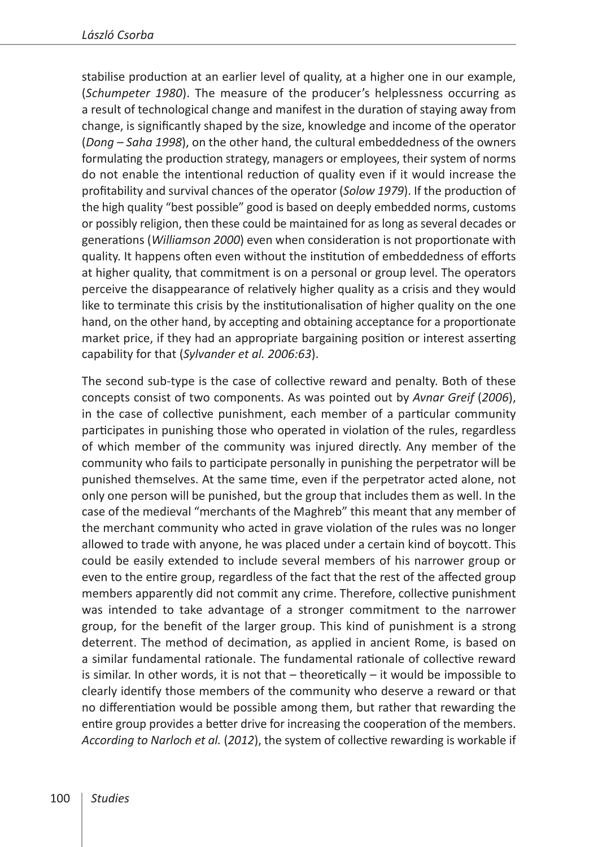stabilise production at an earlier level of quality, at a higher one in our example, (*Schumpeter 1980*). The measure of the producer's helplessness occurring as a result of technological change and manifest in the duration of staying away from change, is significantly shaped by the size, knowledge and income of the operator (*Dong – Saha 1998*), on the other hand, the cultural embeddedness of the owners formulating the production strategy, managers or employees, their system of norms do not enable the intentional reduction of quality even if it would increase the profitability and survival chances of the operator (*Solow 1979*). If the production of the high quality "best possible" good is based on deeply embedded norms, customs or possibly religion, then these could be maintained for as long as several decades or generations (*Williamson 2000*) even when consideration is not proportionate with quality. It happens often even without the institution of embeddedness of efforts at higher quality, that commitment is on a personal or group level. The operators perceive the disappearance of relatively higher quality as a crisis and they would like to terminate this crisis by the institutionalisation of higher quality on the one hand, on the other hand, by accepting and obtaining acceptance for a proportionate market price, if they had an appropriate bargaining position or interest asserting capability for that (*Sylvander et al. 2006:63*).

The second sub-type is the case of collective reward and penalty. Both of these concepts consist of two components. As was pointed out by *Avnar Greif* (*2006*), in the case of collective punishment, each member of a particular community participates in punishing those who operated in violation of the rules, regardless of which member of the community was injured directly. Any member of the community who fails to participate personally in punishing the perpetrator will be punished themselves. At the same time, even if the perpetrator acted alone, not only one person will be punished, but the group that includes them as well. In the case of the medieval "merchants of the Maghreb" this meant that any member of the merchant community who acted in grave violation of the rules was no longer allowed to trade with anyone, he was placed under a certain kind of boycott. This could be easily extended to include several members of his narrower group or even to the entire group, regardless of the fact that the rest of the affected group members apparently did not commit any crime. Therefore, collective punishment was intended to take advantage of a stronger commitment to the narrower group, for the benefit of the larger group. This kind of punishment is a strong deterrent. The method of decimation, as applied in ancient Rome, is based on a similar fundamental rationale. The fundamental rationale of collective reward is similar. In other words, it is not that  $-$  theoretically  $-$  it would be impossible to clearly identify those members of the community who deserve a reward or that no differentiation would be possible among them, but rather that rewarding the entire group provides a better drive for increasing the cooperation of the members. *According to Narloch et al.* (*2012*), the system of collective rewarding is workable if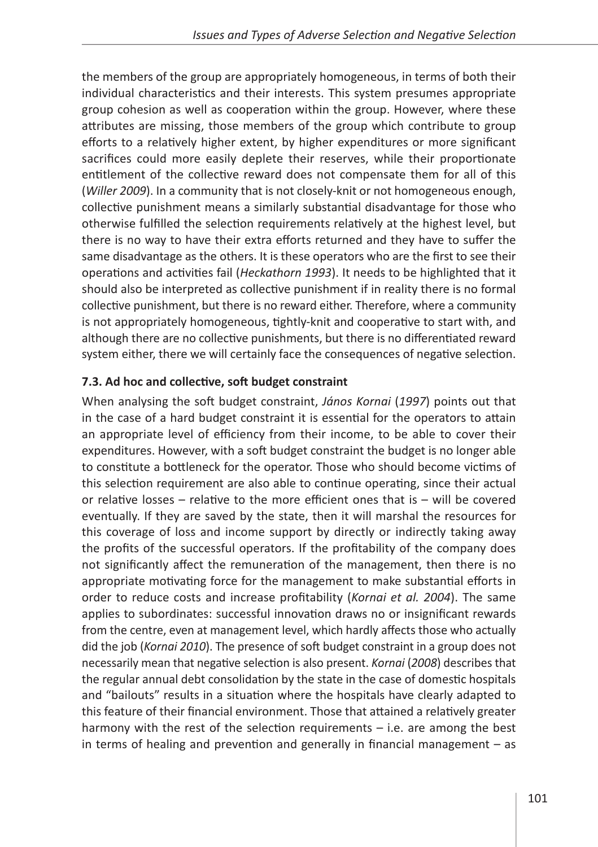the members of the group are appropriately homogeneous, in terms of both their individual characteristics and their interests. This system presumes appropriate group cohesion as well as cooperation within the group. However, where these attributes are missing, those members of the group which contribute to group efforts to a relatively higher extent, by higher expenditures or more significant sacrifices could more easily deplete their reserves, while their proportionate entitlement of the collective reward does not compensate them for all of this (*Willer 2009*). In a community that is not closely-knit or not homogeneous enough, collective punishment means a similarly substantial disadvantage for those who otherwise fulfilled the selection requirements relatively at the highest level, but there is no way to have their extra efforts returned and they have to suffer the same disadvantage as the others. It is these operators who are the first to see their operations and activities fail (*Heckathorn 1993*). It needs to be highlighted that it should also be interpreted as collective punishment if in reality there is no formal collective punishment, but there is no reward either. Therefore, where a community is not appropriately homogeneous, tightly-knit and cooperative to start with, and although there are no collective punishments, but there is no differentiated reward system either, there we will certainly face the consequences of negative selection.

#### **7.3. Ad hoc and collective, soft budget constraint**

When analysing the soft budget constraint, *János Kornai* (*1997*) points out that in the case of a hard budget constraint it is essential for the operators to attain an appropriate level of efficiency from their income, to be able to cover their expenditures. However, with a soft budget constraint the budget is no longer able to constitute a bottleneck for the operator. Those who should become victims of this selection requirement are also able to continue operating, since their actual or relative losses – relative to the more efficient ones that is – will be covered eventually. If they are saved by the state, then it will marshal the resources for this coverage of loss and income support by directly or indirectly taking away the profits of the successful operators. If the profitability of the company does not significantly affect the remuneration of the management, then there is no appropriate motivating force for the management to make substantial efforts in order to reduce costs and increase profitability (*Kornai et al. 2004*). The same applies to subordinates: successful innovation draws no or insignificant rewards from the centre, even at management level, which hardly affects those who actually did the job (*Kornai 2010*). The presence of soft budget constraint in a group does not necessarily mean that negative selection is also present. *Kornai* (*2008*) describes that the regular annual debt consolidation by the state in the case of domestic hospitals and "bailouts" results in a situation where the hospitals have clearly adapted to this feature of their financial environment. Those that attained a relatively greater harmony with the rest of the selection requirements – i.e. are among the best in terms of healing and prevention and generally in financial management – as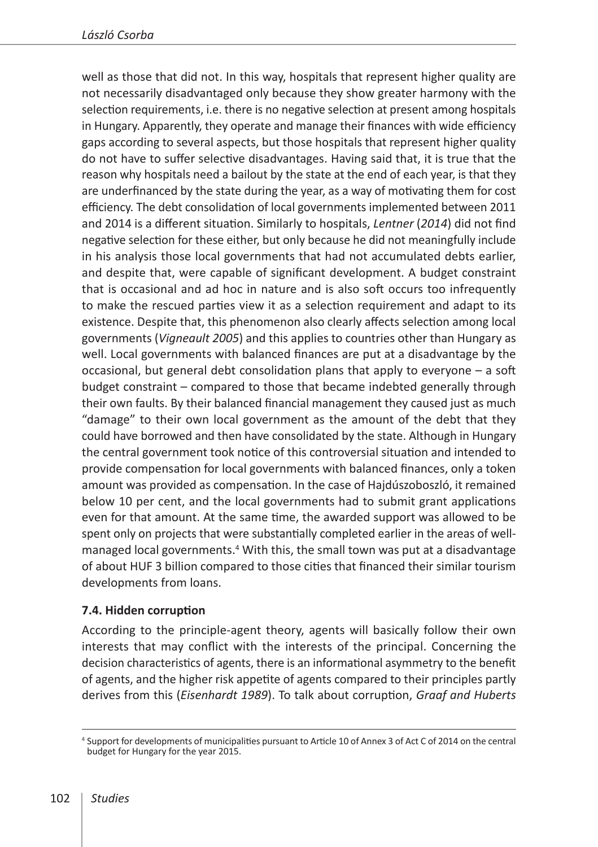well as those that did not. In this way, hospitals that represent higher quality are not necessarily disadvantaged only because they show greater harmony with the selection requirements, i.e. there is no negative selection at present among hospitals in Hungary. Apparently, they operate and manage their finances with wide efficiency gaps according to several aspects, but those hospitals that represent higher quality do not have to suffer selective disadvantages. Having said that, it is true that the reason why hospitals need a bailout by the state at the end of each year, is that they are underfinanced by the state during the year, as a way of motivating them for cost efficiency. The debt consolidation of local governments implemented between 2011 and 2014 is a different situation. Similarly to hospitals, *Lentner* (*2014*) did not find negative selection for these either, but only because he did not meaningfully include in his analysis those local governments that had not accumulated debts earlier, and despite that, were capable of significant development. A budget constraint that is occasional and ad hoc in nature and is also soft occurs too infrequently to make the rescued parties view it as a selection requirement and adapt to its existence. Despite that, this phenomenon also clearly affects selection among local governments (*Vigneault 2005*) and this applies to countries other than Hungary as well. Local governments with balanced finances are put at a disadvantage by the occasional, but general debt consolidation plans that apply to everyone – a soft budget constraint – compared to those that became indebted generally through their own faults. By their balanced financial management they caused just as much "damage" to their own local government as the amount of the debt that they could have borrowed and then have consolidated by the state. Although in Hungary the central government took notice of this controversial situation and intended to provide compensation for local governments with balanced finances, only a token amount was provided as compensation. In the case of Hajdúszoboszló, it remained below 10 per cent, and the local governments had to submit grant applications even for that amount. At the same time, the awarded support was allowed to be spent only on projects that were substantially completed earlier in the areas of wellmanaged local governments.<sup>4</sup> With this, the small town was put at a disadvantage of about HUF 3 billion compared to those cities that financed their similar tourism developments from loans.

#### **7.4. Hidden corruption**

According to the principle-agent theory, agents will basically follow their own interests that may conflict with the interests of the principal. Concerning the decision characteristics of agents, there is an informational asymmetry to the benefit of agents, and the higher risk appetite of agents compared to their principles partly derives from this (*Eisenhardt 1989*). To talk about corruption, *Graaf and Huberts*

<sup>4</sup> Support for developments of municipalities pursuant to Article 10 of Annex 3 of Act C of 2014 on the central budget for Hungary for the year 2015.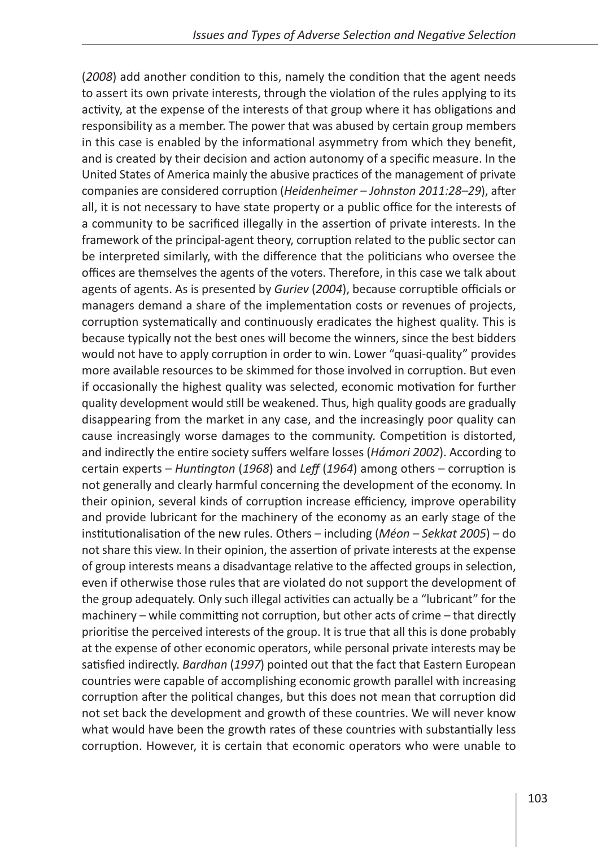(*2008*) add another condition to this, namely the condition that the agent needs to assert its own private interests, through the violation of the rules applying to its activity, at the expense of the interests of that group where it has obligations and responsibility as a member. The power that was abused by certain group members in this case is enabled by the informational asymmetry from which they benefit, and is created by their decision and action autonomy of a specific measure. In the United States of America mainly the abusive practices of the management of private companies are considered corruption (*Heidenheimer – Johnston 2011:28–29*), after all, it is not necessary to have state property or a public office for the interests of a community to be sacrificed illegally in the assertion of private interests. In the framework of the principal-agent theory, corruption related to the public sector can be interpreted similarly, with the difference that the politicians who oversee the offices are themselves the agents of the voters. Therefore, in this case we talk about agents of agents. As is presented by *Guriev* (*2004*), because corruptible officials or managers demand a share of the implementation costs or revenues of projects, corruption systematically and continuously eradicates the highest quality. This is because typically not the best ones will become the winners, since the best bidders would not have to apply corruption in order to win. Lower "quasi-quality" provides more available resources to be skimmed for those involved in corruption. But even if occasionally the highest quality was selected, economic motivation for further quality development would still be weakened. Thus, high quality goods are gradually disappearing from the market in any case, and the increasingly poor quality can cause increasingly worse damages to the community. Competition is distorted, and indirectly the entire society suffers welfare losses (*Hámori 2002*). According to certain experts – *Huntington* (*1968*) and *Leff* (*1964*) among others – corruption is not generally and clearly harmful concerning the development of the economy. In their opinion, several kinds of corruption increase efficiency, improve operability and provide lubricant for the machinery of the economy as an early stage of the institutionalisation of the new rules. Others – including (*Méon – Sekkat 2005*) – do not share this view. In their opinion, the assertion of private interests at the expense of group interests means a disadvantage relative to the affected groups in selection, even if otherwise those rules that are violated do not support the development of the group adequately. Only such illegal activities can actually be a "lubricant" for the machinery – while committing not corruption, but other acts of crime – that directly prioritise the perceived interests of the group. It is true that all this is done probably at the expense of other economic operators, while personal private interests may be satisfied indirectly. *Bardhan* (*1997*) pointed out that the fact that Eastern European countries were capable of accomplishing economic growth parallel with increasing corruption after the political changes, but this does not mean that corruption did not set back the development and growth of these countries. We will never know what would have been the growth rates of these countries with substantially less corruption. However, it is certain that economic operators who were unable to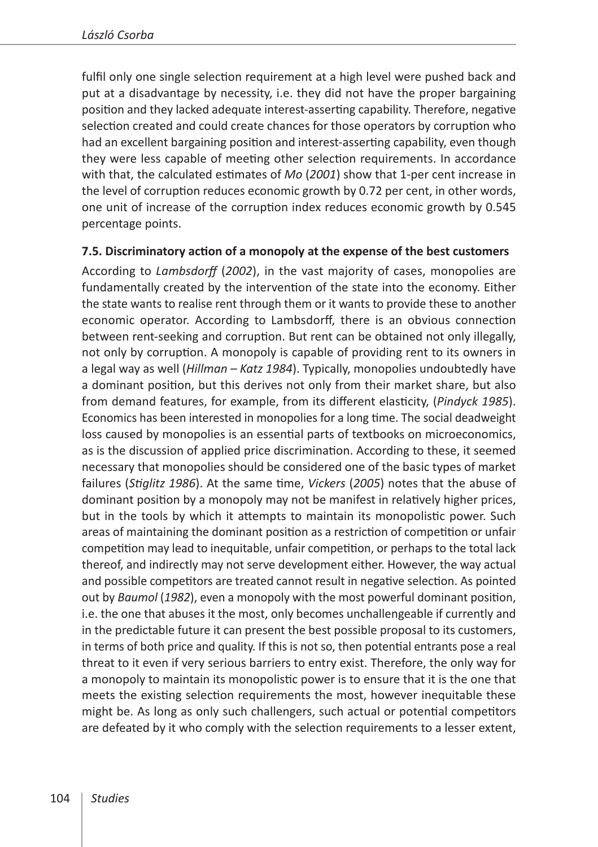fulfil only one single selection requirement at a high level were pushed back and put at a disadvantage by necessity, i.e. they did not have the proper bargaining position and they lacked adequate interest-asserting capability. Therefore, negative selection created and could create chances for those operators by corruption who had an excellent bargaining position and interest-asserting capability, even though they were less capable of meeting other selection requirements. In accordance with that, the calculated estimates of *Mo* (*2001*) show that 1-per cent increase in the level of corruption reduces economic growth by 0.72 per cent, in other words, one unit of increase of the corruption index reduces economic growth by 0.545 percentage points.

#### **7.5. Discriminatory action of a monopoly at the expense of the best customers**

According to *Lambsdorff* (*2002*), in the vast majority of cases, monopolies are fundamentally created by the intervention of the state into the economy. Either the state wants to realise rent through them or it wants to provide these to another economic operator. According to Lambsdorff, there is an obvious connection between rent-seeking and corruption. But rent can be obtained not only illegally, not only by corruption. A monopoly is capable of providing rent to its owners in a legal way as well (*Hillman – Katz 1984*). Typically, monopolies undoubtedly have a dominant position, but this derives not only from their market share, but also from demand features, for example, from its different elasticity, (*Pindyck 1985*). Economics has been interested in monopolies for a long time. The social deadweight loss caused by monopolies is an essential parts of textbooks on microeconomics, as is the discussion of applied price discrimination. According to these, it seemed necessary that monopolies should be considered one of the basic types of market failures (*Stiglitz 1986*). At the same time, *Vickers* (*2005*) notes that the abuse of dominant position by a monopoly may not be manifest in relatively higher prices, but in the tools by which it attempts to maintain its monopolistic power. Such areas of maintaining the dominant position as a restriction of competition or unfair competition may lead to inequitable, unfair competition, or perhaps to the total lack thereof, and indirectly may not serve development either. However, the way actual and possible competitors are treated cannot result in negative selection. As pointed out by *Baumol* (*1982*), even a monopoly with the most powerful dominant position, i.e. the one that abuses it the most, only becomes unchallengeable if currently and in the predictable future it can present the best possible proposal to its customers, in terms of both price and quality. If this is not so, then potential entrants pose a real threat to it even if very serious barriers to entry exist. Therefore, the only way for a monopoly to maintain its monopolistic power is to ensure that it is the one that meets the existing selection requirements the most, however inequitable these might be. As long as only such challengers, such actual or potential competitors are defeated by it who comply with the selection requirements to a lesser extent,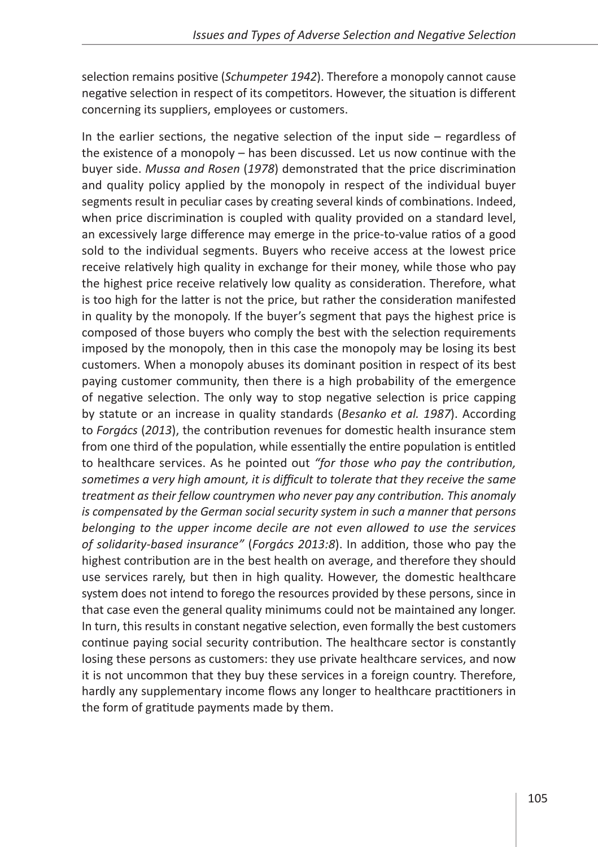selection remains positive (*Schumpeter 1942*). Therefore a monopoly cannot cause negative selection in respect of its competitors. However, the situation is different concerning its suppliers, employees or customers.

In the earlier sections, the negative selection of the input side – regardless of the existence of a monopoly – has been discussed. Let us now continue with the buyer side. *Mussa and Rosen* (*1978*) demonstrated that the price discrimination and quality policy applied by the monopoly in respect of the individual buyer segments result in peculiar cases by creating several kinds of combinations. Indeed, when price discrimination is coupled with quality provided on a standard level, an excessively large difference may emerge in the price-to-value ratios of a good sold to the individual segments. Buyers who receive access at the lowest price receive relatively high quality in exchange for their money, while those who pay the highest price receive relatively low quality as consideration. Therefore, what is too high for the latter is not the price, but rather the consideration manifested in quality by the monopoly. If the buyer's segment that pays the highest price is composed of those buyers who comply the best with the selection requirements imposed by the monopoly, then in this case the monopoly may be losing its best customers. When a monopoly abuses its dominant position in respect of its best paying customer community, then there is a high probability of the emergence of negative selection. The only way to stop negative selection is price capping by statute or an increase in quality standards (*Besanko et al. 1987*). According to *Forgács* (*2013*), the contribution revenues for domestic health insurance stem from one third of the population, while essentially the entire population is entitled to healthcare services. As he pointed out *"for those who pay the contribution, sometimes a very high amount, it is difficult to tolerate that they receive the same treatment as their fellow countrymen who never pay any contribution. This anomaly is compensated by the German social security system in such a manner that persons belonging to the upper income decile are not even allowed to use the services of solidarity-based insurance"* (*Forgács 2013:8*). In addition, those who pay the highest contribution are in the best health on average, and therefore they should use services rarely, but then in high quality. However, the domestic healthcare system does not intend to forego the resources provided by these persons, since in that case even the general quality minimums could not be maintained any longer. In turn, this results in constant negative selection, even formally the best customers continue paying social security contribution. The healthcare sector is constantly losing these persons as customers: they use private healthcare services, and now it is not uncommon that they buy these services in a foreign country. Therefore, hardly any supplementary income flows any longer to healthcare practitioners in the form of gratitude payments made by them.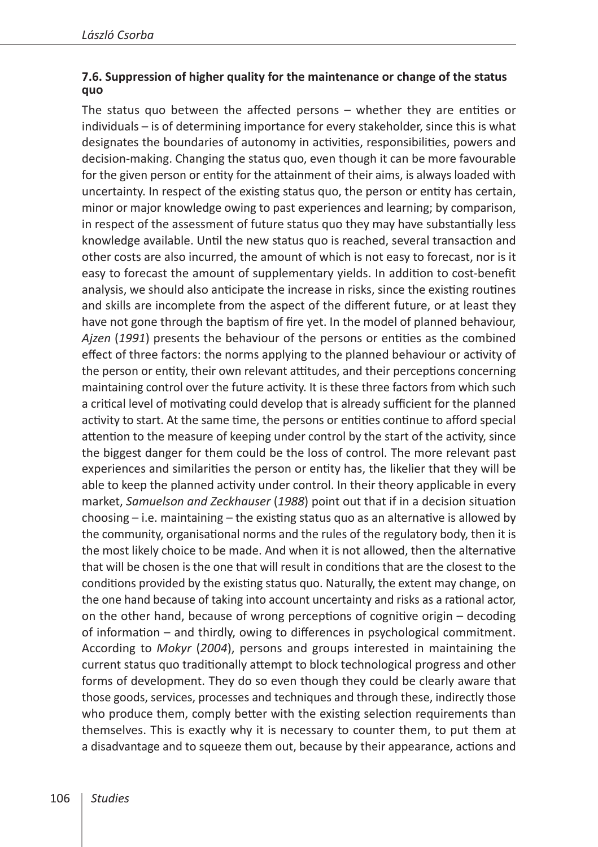#### **7.6. Suppression of higher quality for the maintenance or change of the status quo**

The status quo between the affected persons – whether they are entities or individuals – is of determining importance for every stakeholder, since this is what designates the boundaries of autonomy in activities, responsibilities, powers and decision-making. Changing the status quo, even though it can be more favourable for the given person or entity for the attainment of their aims, is always loaded with uncertainty. In respect of the existing status quo, the person or entity has certain, minor or major knowledge owing to past experiences and learning; by comparison, in respect of the assessment of future status quo they may have substantially less knowledge available. Until the new status quo is reached, several transaction and other costs are also incurred, the amount of which is not easy to forecast, nor is it easy to forecast the amount of supplementary yields. In addition to cost-benefit analysis, we should also anticipate the increase in risks, since the existing routines and skills are incomplete from the aspect of the different future, or at least they have not gone through the baptism of fire yet. In the model of planned behaviour, *Ajzen* (*1991*) presents the behaviour of the persons or entities as the combined effect of three factors: the norms applying to the planned behaviour or activity of the person or entity, their own relevant attitudes, and their perceptions concerning maintaining control over the future activity. It is these three factors from which such a critical level of motivating could develop that is already sufficient for the planned activity to start. At the same time, the persons or entities continue to afford special attention to the measure of keeping under control by the start of the activity, since the biggest danger for them could be the loss of control. The more relevant past experiences and similarities the person or entity has, the likelier that they will be able to keep the planned activity under control. In their theory applicable in every market, *Samuelson and Zeckhauser* (*1988*) point out that if in a decision situation choosing  $-$  i.e. maintaining  $-$  the existing status quo as an alternative is allowed by the community, organisational norms and the rules of the regulatory body, then it is the most likely choice to be made. And when it is not allowed, then the alternative that will be chosen is the one that will result in conditions that are the closest to the conditions provided by the existing status quo. Naturally, the extent may change, on the one hand because of taking into account uncertainty and risks as a rational actor, on the other hand, because of wrong perceptions of cognitive origin – decoding of information – and thirdly, owing to differences in psychological commitment. According to *Mokyr* (*2004*), persons and groups interested in maintaining the current status quo traditionally attempt to block technological progress and other forms of development. They do so even though they could be clearly aware that those goods, services, processes and techniques and through these, indirectly those who produce them, comply better with the existing selection requirements than themselves. This is exactly why it is necessary to counter them, to put them at a disadvantage and to squeeze them out, because by their appearance, actions and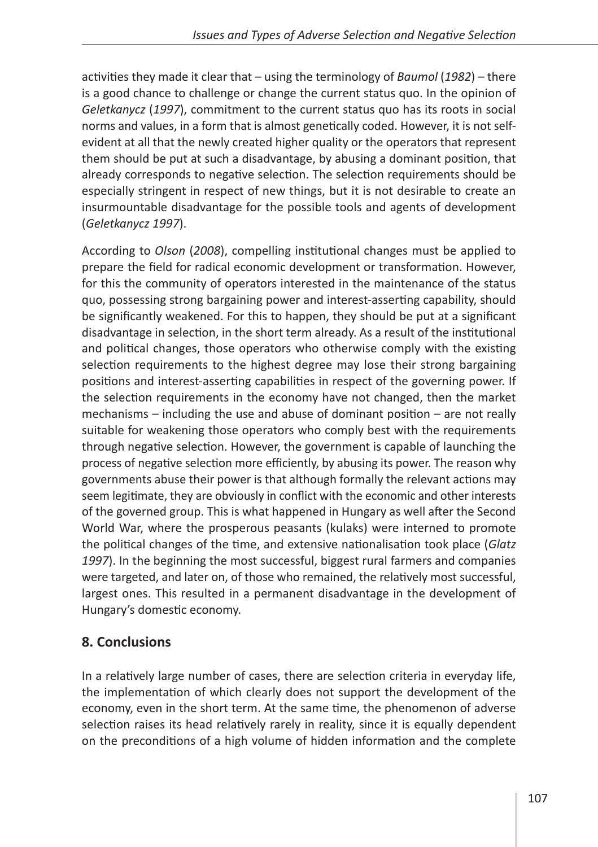activities they made it clear that – using the terminology of *Baumol* (*1982*) – there is a good chance to challenge or change the current status quo. In the opinion of *Geletkanycz* (*1997*), commitment to the current status quo has its roots in social norms and values, in a form that is almost genetically coded. However, it is not selfevident at all that the newly created higher quality or the operators that represent them should be put at such a disadvantage, by abusing a dominant position, that already corresponds to negative selection. The selection requirements should be especially stringent in respect of new things, but it is not desirable to create an insurmountable disadvantage for the possible tools and agents of development (*Geletkanycz 1997*).

According to *Olson* (*2008*), compelling institutional changes must be applied to prepare the field for radical economic development or transformation. However, for this the community of operators interested in the maintenance of the status quo, possessing strong bargaining power and interest-asserting capability, should be significantly weakened. For this to happen, they should be put at a significant disadvantage in selection, in the short term already. As a result of the institutional and political changes, those operators who otherwise comply with the existing selection requirements to the highest degree may lose their strong bargaining positions and interest-asserting capabilities in respect of the governing power. If the selection requirements in the economy have not changed, then the market mechanisms – including the use and abuse of dominant position – are not really suitable for weakening those operators who comply best with the requirements through negative selection. However, the government is capable of launching the process of negative selection more efficiently, by abusing its power. The reason why governments abuse their power is that although formally the relevant actions may seem legitimate, they are obviously in conflict with the economic and other interests of the governed group. This is what happened in Hungary as well after the Second World War, where the prosperous peasants (kulaks) were interned to promote the political changes of the time, and extensive nationalisation took place (*Glatz 1997*). In the beginning the most successful, biggest rural farmers and companies were targeted, and later on, of those who remained, the relatively most successful, largest ones. This resulted in a permanent disadvantage in the development of Hungary's domestic economy.

# **8. Conclusions**

In a relatively large number of cases, there are selection criteria in everyday life, the implementation of which clearly does not support the development of the economy, even in the short term. At the same time, the phenomenon of adverse selection raises its head relatively rarely in reality, since it is equally dependent on the preconditions of a high volume of hidden information and the complete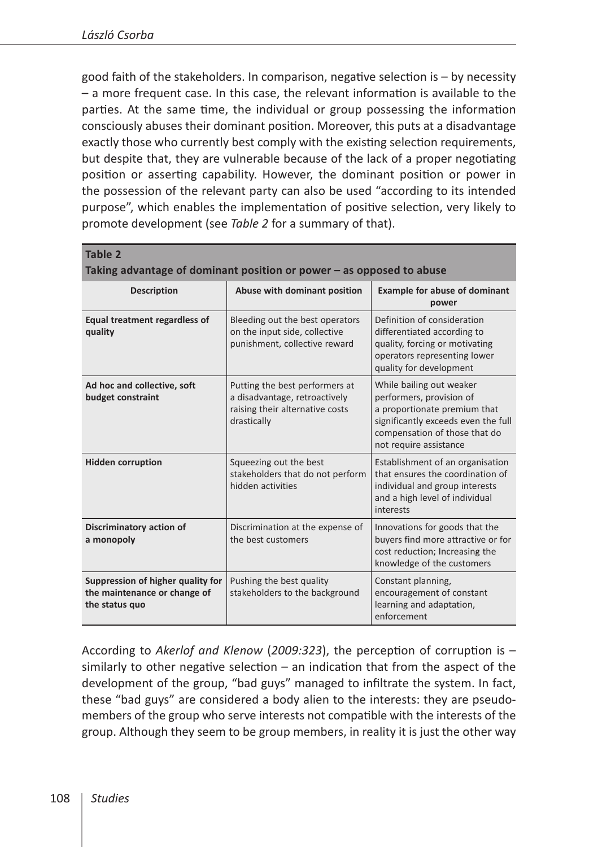**Table 2**

good faith of the stakeholders. In comparison, negative selection is – by necessity – a more frequent case. In this case, the relevant information is available to the parties. At the same time, the individual or group possessing the information consciously abuses their dominant position. Moreover, this puts at a disadvantage exactly those who currently best comply with the existing selection requirements, but despite that, they are vulnerable because of the lack of a proper negotiating position or asserting capability. However, the dominant position or power in the possession of the relevant party can also be used "according to its intended purpose", which enables the implementation of positive selection, very likely to promote development (see *Table 2* for a summary of that).

| ianic 4<br>Taking advantage of dominant position or power - as opposed to abuse     |                                                                                                                   |                                                                                                                                                                                        |  |
|-------------------------------------------------------------------------------------|-------------------------------------------------------------------------------------------------------------------|----------------------------------------------------------------------------------------------------------------------------------------------------------------------------------------|--|
| <b>Description</b>                                                                  | Abuse with dominant position                                                                                      | <b>Example for abuse of dominant</b><br>power                                                                                                                                          |  |
| Equal treatment regardless of<br>quality                                            | Bleeding out the best operators<br>on the input side, collective<br>punishment, collective reward                 | Definition of consideration<br>differentiated according to<br>quality, forcing or motivating<br>operators representing lower<br>quality for development                                |  |
| Ad hoc and collective, soft<br>budget constraint                                    | Putting the best performers at<br>a disadvantage, retroactively<br>raising their alternative costs<br>drastically | While bailing out weaker<br>performers, provision of<br>a proportionate premium that<br>significantly exceeds even the full<br>compensation of those that do<br>not require assistance |  |
| <b>Hidden corruption</b>                                                            | Squeezing out the best<br>stakeholders that do not perform<br>hidden activities                                   | Establishment of an organisation<br>that ensures the coordination of<br>individual and group interests<br>and a high level of individual<br>interests                                  |  |
| Discriminatory action of<br>a monopoly                                              | Discrimination at the expense of<br>the best customers                                                            | Innovations for goods that the<br>buyers find more attractive or for<br>cost reduction; Increasing the<br>knowledge of the customers                                                   |  |
| Suppression of higher quality for<br>the maintenance or change of<br>the status quo | Pushing the best quality<br>stakeholders to the background                                                        | Constant planning,<br>encouragement of constant<br>learning and adaptation,<br>enforcement                                                                                             |  |

According to *Akerlof and Klenow* (*2009:323*), the perception of corruption is – similarly to other negative selection  $-$  an indication that from the aspect of the development of the group, "bad guys" managed to infiltrate the system. In fact, these "bad guys" are considered a body alien to the interests: they are pseudomembers of the group who serve interests not compatible with the interests of the group. Although they seem to be group members, in reality it is just the other way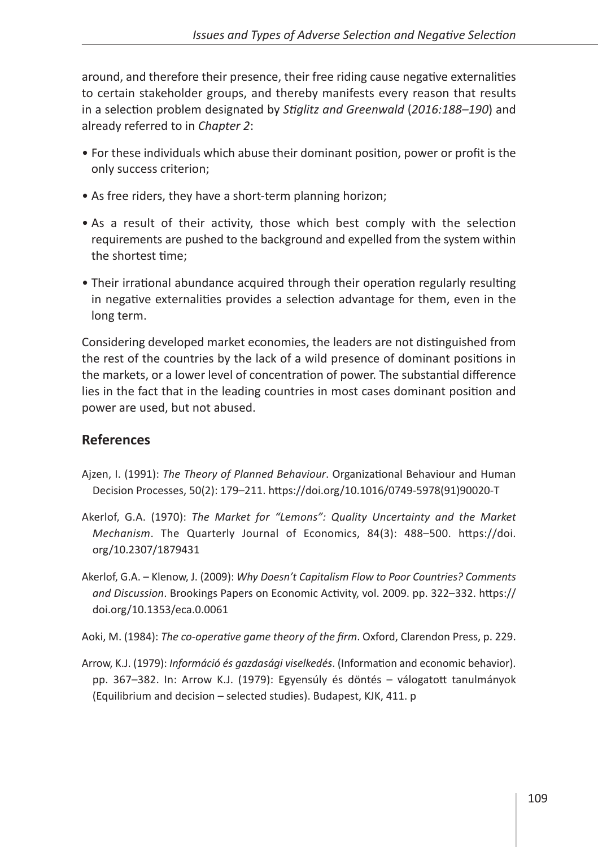around, and therefore their presence, their free riding cause negative externalities to certain stakeholder groups, and thereby manifests every reason that results in a selection problem designated by *Stiglitz and Greenwald* (*2016:188–190*) and already referred to in *Chapter 2*:

- For these individuals which abuse their dominant position, power or profit is the only success criterion;
- As free riders, they have a short-term planning horizon;
- As a result of their activity, those which best comply with the selection requirements are pushed to the background and expelled from the system within the shortest time;
- Their irrational abundance acquired through their operation regularly resulting in negative externalities provides a selection advantage for them, even in the long term.

Considering developed market economies, the leaders are not distinguished from the rest of the countries by the lack of a wild presence of dominant positions in the markets, or a lower level of concentration of power. The substantial difference lies in the fact that in the leading countries in most cases dominant position and power are used, but not abused.

#### **References**

- Ajzen, I. (1991): *The Theory of Planned Behaviour*. Organizational Behaviour and Human Decision Processes, 50(2): 179–211. [https://doi.org/10.1016/0749-5978\(91\)90020-T](https://doi.org/10.1016/0749-5978(91)90020-T)
- Akerlof, G.A. (1970): *The Market for "Lemons": Quality Uncertainty and the Market Mechanism*. The Quarterly Journal of Economics, 84(3): 488–500. [https://doi.](https://doi.org/10.2307/1879431) [org/10.2307/1879431](https://doi.org/10.2307/1879431)
- Akerlof, G.A. Klenow, J. (2009): *Why Doesn't Capitalism Flow to Poor Countries? Comments and Discussion*. Brookings Papers on Economic Activity, vol. 2009. pp. 322–332. [https://](https://doi.org/10.1353/eca.0.0061) [doi.org/10.1353/eca.0.0061](https://doi.org/10.1353/eca.0.0061)

Aoki, M. (1984): *The co-operative game theory of the firm*. Oxford, Clarendon Press, p. 229.

Arrow, K.J. (1979): *Információ és gazdasági viselkedés*. (Information and economic behavior). pp. 367–382. In: Arrow K.J. (1979): Egyensúly és döntés – válogatott tanulmányok (Equilibrium and decision – selected studies). Budapest, KJK, 411. p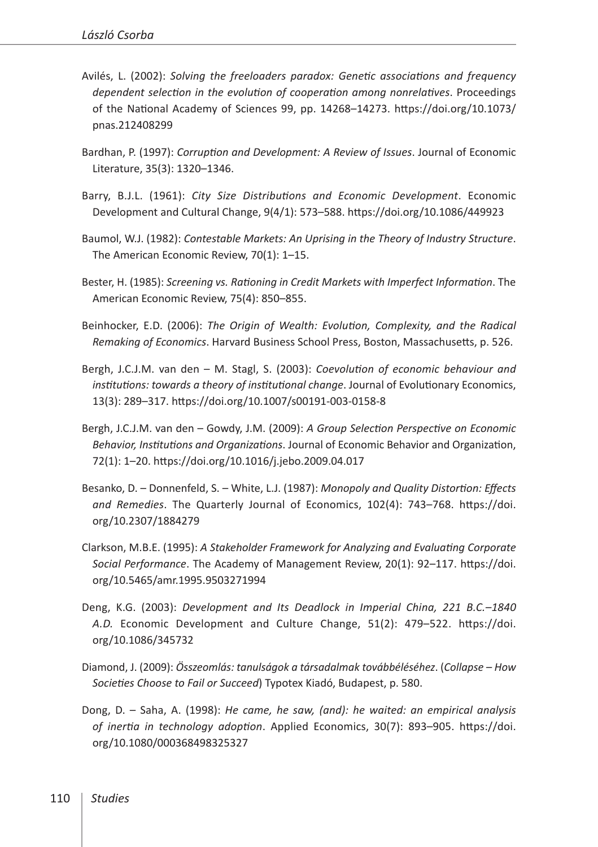- Avilés, L. (2002): *Solving the freeloaders paradox: Genetic associations and frequency dependent selection in the evolution of cooperation among nonrelatives*. Proceedings of the National Academy of Sciences 99, pp. 14268–14273. [https://doi.org/10.1073/](https://doi.org/10.1073/pnas.212408299) [pnas.212408299](https://doi.org/10.1073/pnas.212408299)
- Bardhan, P. (1997): *Corruption and Development: A Review of Issues*. Journal of Economic Literature, 35(3): 1320–1346.
- Barry, B.J.L. (1961): *City Size Distributions and Economic Development*. Economic Development and Cultural Change, 9(4/1): 573–588. <https://doi.org/10.1086/449923>
- Baumol, W.J. (1982): *Contestable Markets: An Uprising in the Theory of Industry Structure*. The American Economic Review, 70(1): 1–15.
- Bester, H. (1985): *Screening vs. Rationing in Credit Markets with Imperfect Information*. The American Economic Review, 75(4): 850–855.
- Beinhocker, E.D. (2006): *The Origin of Wealth: Evolution, Complexity, and the Radical Remaking of Economics*. Harvard Business School Press, Boston, Massachusetts, p. 526.
- Bergh, J.C.J.M. van den M. Stagl, S. (2003): *Coevolution of economic behaviour and institutions: towards a theory of institutional change*. Journal of Evolutionary Economics, 13(3): 289–317. <https://doi.org/10.1007/s00191-003-0158-8>
- Bergh, J.C.J.M. van den Gowdy, J.M. (2009): *A Group Selection Perspective on Economic Behavior, Institutions and Organizations*. Journal of Economic Behavior and Organization, 72(1): 1–20. https://doi.org/10.1016/j.jebo.2009.04.017
- Besanko, D. Donnenfeld, S. White, L.J. (1987): *Monopoly and Quality Distortion: Effects and Remedies*. The Quarterly Journal of Economics, 102(4): 743–768. [https://doi.](https://doi.org/10.2307/1884279) [org/10.2307/1884279](https://doi.org/10.2307/1884279)
- Clarkson, M.B.E. (1995): *A Stakeholder Framework for Analyzing and Evaluating Corporate Social Performance*. The Academy of Management Review, 20(1): 92–117. [https://doi.](https://doi.org/10.5465/amr.1995.9503271994) [org/10.5465/amr.1995.9503271994](https://doi.org/10.5465/amr.1995.9503271994)
- Deng, K.G. (2003): *Development and Its Deadlock in Imperial China, 221 B.C.–1840 A.D.* Economic Development and Culture Change, 51(2): 479–522. [https://doi.](https://doi.org/10.1086/345732) [org/10.1086/345732](https://doi.org/10.1086/345732)
- Diamond, J. (2009): *Összeomlás: tanulságok a társadalmak továbbéléséhez*. (*Collapse How Societies Choose to Fail or Succeed*) Typotex Kiadó, Budapest, p. 580.
- Dong, D. Saha, A. (1998): *He came, he saw, (and): he waited: an empirical analysis of inertia in technology adoption*. Applied Economics, 30(7): 893–905. [https://doi.](https://doi.org/10.1080/000368498325327) [org/10.1080/000368498325327](https://doi.org/10.1080/000368498325327)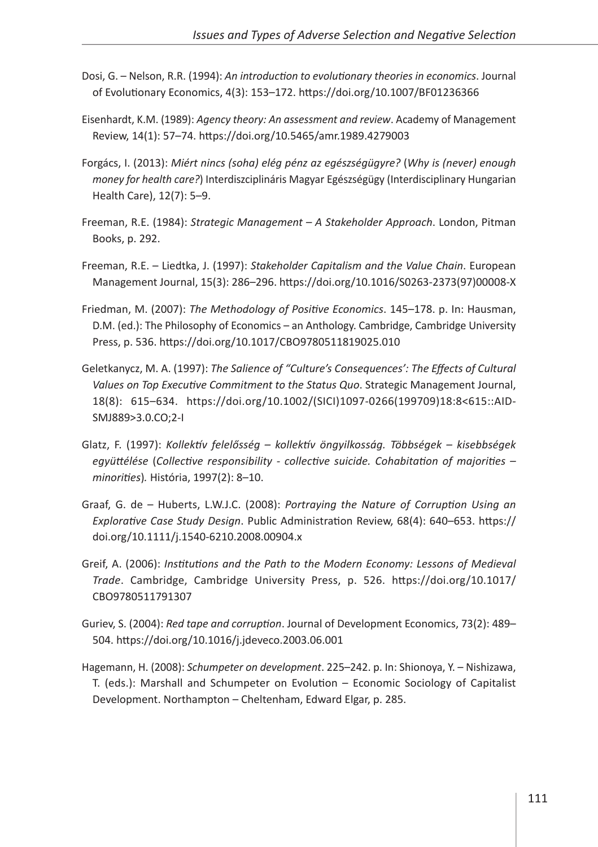- Dosi, G. Nelson, R.R. (1994): *An introduction to evolutionary theories in economics*. Journal of Evolutionary Economics, 4(3): 153–172. <https://doi.org/10.1007/BF01236366>
- Eisenhardt, K.M. (1989): *Agency theory: An assessment and review*. Academy of Management Review, 14(1): 57–74.<https://doi.org/10.5465/amr.1989.4279003>
- Forgács, I. (2013): *Miért nincs (soha) elég pénz az egészségügyre?* (*Why is (never) enough money for health care?*) Interdiszciplináris Magyar Egészségügy (Interdisciplinary Hungarian Health Care), 12(7): 5–9.
- Freeman, R.E. (1984): *Strategic Management A Stakeholder Approach*. London, Pitman Books, p. 292.
- Freeman, R.E. Liedtka, J. (1997): *Stakeholder Capitalism and the Value Chain*. European Management Journal, 15(3): 286–296. [https://doi.org/10.1016/S0263-2373\(97\)00008-X](https://doi.org/10.1016/S0263-2373(97)00008-X)
- Friedman, M. (2007): *The Methodology of Positive Economics*. 145–178. p. In: Hausman, D.M. (ed.): The Philosophy of Economics – an Anthology. Cambridge, Cambridge University Press, p. 536. <https://doi.org/10.1017/CBO9780511819025.010>
- Geletkanycz, M. A. (1997): *The Salience of "Culture's Consequences': The Effects of Cultural Values on Top Executive Commitment to the Status Quo*. Strategic Management Journal, 18(8): 615–634. [https://doi.org/10.1002/\(SICI\)1097-0266\(199709\)18:8<615::AID-](https://doi.org/10.1002/(SICI)1097-0266(199709)18:8<615::AID-SMJ889>3.0.CO;2-I)[SMJ889>3.0.CO;2-I](https://doi.org/10.1002/(SICI)1097-0266(199709)18:8<615::AID-SMJ889>3.0.CO;2-I)
- Glatz, F. (1997): *Kollektív felelősség kollektív öngyilkosság. Többségek kisebbségek együttélése* (*Collective responsibility - collective suicide. Cohabitation of majorities – minorities*)*.* História, 1997(2): 8–10.
- Graaf, G. de Huberts, L.W.J.C. (2008): *Portraying the Nature of Corruption Using an Explorative Case Study Design*. Public Administration Review, 68(4): 640–653. [https://](https://doi.org/10.1111/j.1540-6210.2008.00904.x) [doi.org/10.1111/j.1540-6210.2008.00904.x](https://doi.org/10.1111/j.1540-6210.2008.00904.x)
- Greif, A. (2006): *Institutions and the Path to the Modern Economy: Lessons of Medieval Trade*. Cambridge, Cambridge University Press, p. 526. [https://doi.org/10.1017/](https://doi.org/10.1017/CBO9780511791307) [CBO9780511791307](https://doi.org/10.1017/CBO9780511791307)
- Guriev, S. (2004): *Red tape and corruption*. Journal of Development Economics, 73(2): 489– 504. <https://doi.org/10.1016/j.jdeveco.2003.06.001>
- Hagemann, H. (2008): *Schumpeter on development*. 225–242. p. In: Shionoya, Y. Nishizawa, T. (eds.): Marshall and Schumpeter on Evolution – Economic Sociology of Capitalist Development. Northampton – Cheltenham, Edward Elgar, p. 285.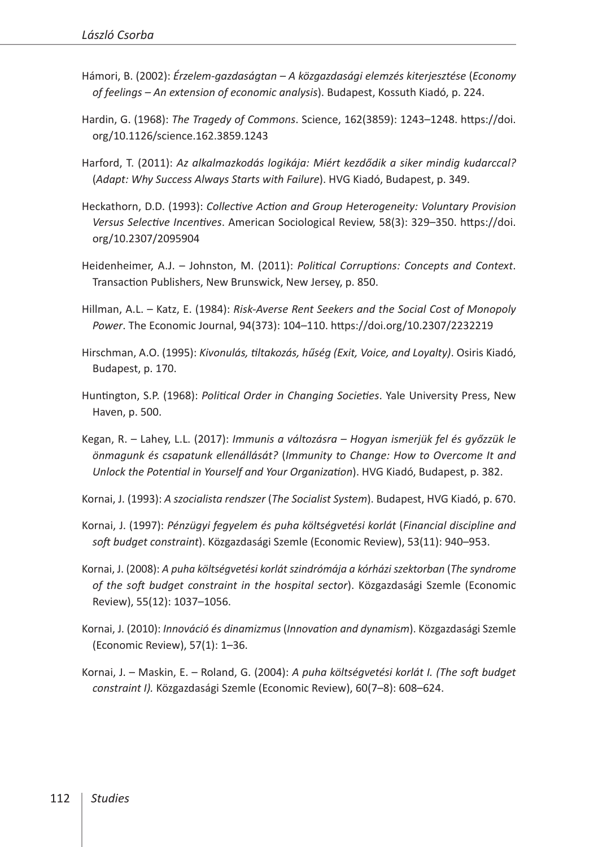- Hámori, B. (2002): *Érzelem-gazdaságtan A közgazdasági elemzés kiterjesztése* (*Economy of feelings – An extension of economic analysis*). Budapest, Kossuth Kiadó, p. 224.
- Hardin, G. (1968): *The Tragedy of Commons*. Science, 162(3859): 1243–1248. [https://doi.](https://doi.org/10.1126/science.162.3859.1243) [org/10.1126/science.162.3859.1243](https://doi.org/10.1126/science.162.3859.1243)
- Harford, T. (2011): *Az alkalmazkodás logikája: Miért kezdődik a siker mindig kudarccal?*  (*Adapt: Why Success Always Starts with Failure*). HVG Kiadó, Budapest, p. 349.
- Heckathorn, D.D. (1993): *Collective Action and Group Heterogeneity: Voluntary Provision Versus Selective Incentives*. American Sociological Review, 58(3): 329–350. [https://doi.](https://doi.org/10.2307/2095904) [org/10.2307/2095904](https://doi.org/10.2307/2095904)
- Heidenheimer, A.J. Johnston, M. (2011): *Political Corruptions: Concepts and Context*. Transaction Publishers, New Brunswick, New Jersey, p. 850.
- Hillman, A.L. Katz, E. (1984): *Risk-Averse Rent Seekers and the Social Cost of Monopoly Power*. The Economic Journal, 94(373): 104–110. <https://doi.org/10.2307/2232219>
- Hirschman, A.O. (1995): *Kivonulás, tiltakozás, hűség (Exit, Voice, and Loyalty)*. Osiris Kiadó, Budapest, p. 170.
- Huntington, S.P. (1968): *Political Order in Changing Societies*. Yale University Press, New Haven, p. 500.
- Kegan, R. Lahey, L.L. (2017): *Immunis a változásra Hogyan ismerjük fel és győzzük le önmagunk és csapatunk ellenállását?* (*Immunity to Change: How to Overcome It and Unlock the Potential in Yourself and Your Organization*). HVG Kiadó, Budapest, p. 382.
- Kornai, J. (1993): *A szocialista rendszer* (*The Socialist System*). Budapest, HVG Kiadó, p. 670.
- Kornai, J. (1997): *Pénzügyi fegyelem és puha költségvetési korlát* (*Financial discipline and soft budget constraint*). Közgazdasági Szemle (Economic Review), 53(11): 940–953.
- Kornai, J. (2008): *A puha költségvetési korlát szindrómája a kórházi szektorban* (*The syndrome of the soft budget constraint in the hospital sector*). Közgazdasági Szemle (Economic Review), 55(12): 1037–1056.
- Kornai, J. (2010): *Innováció és dinamizmus* (*Innovation and dynamism*). Közgazdasági Szemle (Economic Review), 57(1): 1–36.
- Kornai, J. Maskin, E. Roland, G. (2004): *A puha költségvetési korlát I. (The soft budget constraint I).* Közgazdasági Szemle (Economic Review), 60(7–8): 608–624.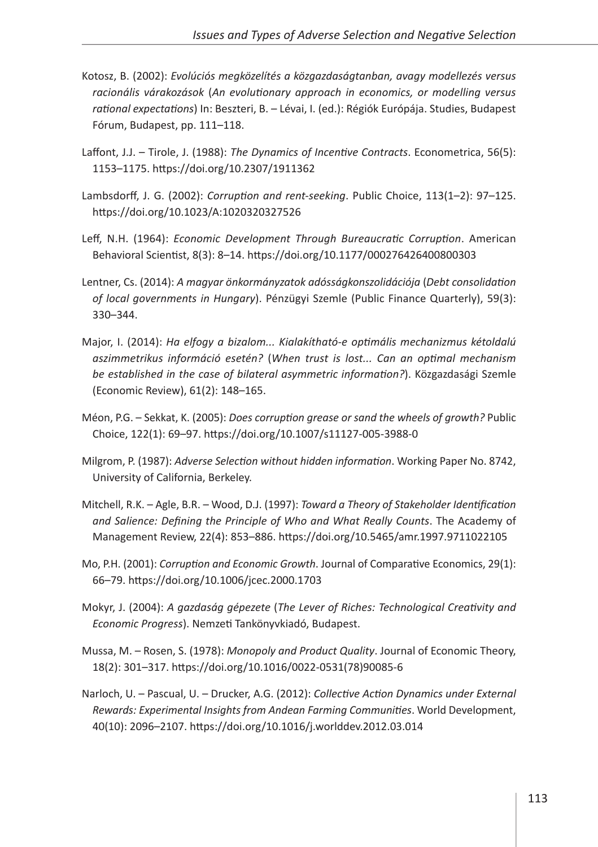- Kotosz, B. (2002): *Evolúciós megközelítés a közgazdaságtanban, avagy modellezés versus racionális várakozások* (*An evolutionary approach in economics, or modelling versus rational expectations*) In: Beszteri, B. – Lévai, I. (ed.): Régiók Európája. Studies, Budapest Fórum, Budapest, pp. 111–118.
- Laffont, J.J. Tirole, J. (1988): *The Dynamics of Incentive Contracts*. Econometrica, 56(5): 1153–1175.<https://doi.org/10.2307/1911362>
- Lambsdorff, J. G. (2002): *Corruption and rent-seeking*. Public Choice, 113(1–2): 97–125. <https://doi.org/10.1023/A:1020320327526>
- Leff, N.H. (1964): *Economic Development Through Bureaucratic Corruption*. American Behavioral Scientist, 8(3): 8–14.<https://doi.org/10.1177/000276426400800303>
- Lentner, Cs. (2014): *A magyar önkormányzatok adósságkonszolidációja* (*Debt consolidation of local governments in Hungary*). Pénzügyi Szemle (Public Finance Quarterly), 59(3): 330–344.
- Major, I. (2014): *Ha elfogy a bizalom... Kialakítható-e optimális mechanizmus kétoldalú aszimmetrikus információ esetén?* (*When trust is lost... Can an optimal mechanism be established in the case of bilateral asymmetric information?*). Közgazdasági Szemle (Economic Review), 61(2): 148–165.
- Méon, P.G. Sekkat, K. (2005): *Does corruption grease or sand the wheels of growth?* Public Choice, 122(1): 69–97.<https://doi.org/10.1007/s11127-005-3988-0>
- Milgrom, P. (1987): *Adverse Selection without hidden information*. Working Paper No. 8742, University of California, Berkeley.
- Mitchell, R.K. Agle, B.R. Wood, D.J. (1997): *Toward a Theory of Stakeholder Identification and Salience: Defining the Principle of Who and What Really Counts*. The Academy of Management Review, 22(4): 853–886. <https://doi.org/10.5465/amr.1997.9711022105>
- Mo, P.H. (2001): *Corruption and Economic Growth*. Journal of Comparative Economics, 29(1): 66–79.<https://doi.org/10.1006/jcec.2000.1703>
- Mokyr, J. (2004): *A gazdaság gépezete* (*The Lever of Riches: Technological Creativity and Economic Progress*). Nemzeti Tankönyvkiadó, Budapest.
- Mussa, M. Rosen, S. (1978): *Monopoly and Product Quality*. Journal of Economic Theory, 18(2): 301–317. [https://doi.org/10.1016/0022-0531\(78\)90085-6](https://doi.org/10.1016/0022-0531(78)90085-6)
- Narloch, U. Pascual, U. Drucker, A.G. (2012): *Collective Action Dynamics under External Rewards: Experimental Insights from Andean Farming Communities*. World Development, 40(10): 2096–2107.<https://doi.org/10.1016/j.worlddev.2012.03.014>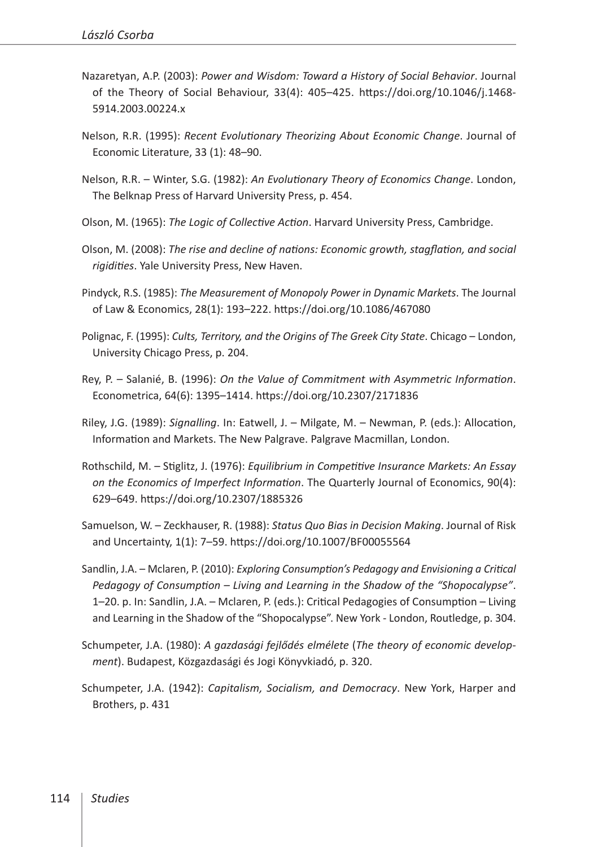- Nazaretyan, A.P. (2003): *Power and Wisdom: Toward a History of Social Behavior*. Journal of the Theory of Social Behaviour, 33(4): 405–425. [https://doi.org/10.1046/j.1468-](https://doi.org/10.1046/j.1468-5914.2003.00224.x) [5914.2003.00224.x](https://doi.org/10.1046/j.1468-5914.2003.00224.x)
- Nelson, R.R. (1995): *Recent Evolutionary Theorizing About Economic Change*. Journal of Economic Literature, 33 (1): 48–90.
- Nelson, R.R. Winter, S.G. (1982): *An Evolutionary Theory of Economics Change*. London, The Belknap Press of Harvard University Press, p. 454.
- Olson, M. (1965): *The Logic of Collective Action*. Harvard University Press, Cambridge.
- Olson, M. (2008): *The rise and decline of nations: Economic growth, stagflation, and social rigidities*. Yale University Press, New Haven.
- Pindyck, R.S. (1985): *The Measurement of Monopoly Power in Dynamic Markets*. The Journal of Law & Economics, 28(1): 193–222. https://doi.org/10.1086/467080
- Polignac, F. (1995): *Cults, Territory, and the Origins of The Greek City State*. Chicago London, University Chicago Press, p. 204.
- Rey, P. Salanié, B. (1996): *On the Value of Commitment with Asymmetric Information*. Econometrica, 64(6): 1395–1414. <https://doi.org/10.2307/2171836>
- Riley, J.G. (1989): *Signalling*. In: Eatwell, J. Milgate, M. Newman, P. (eds.): Allocation, Information and Markets. The New Palgrave. Palgrave Macmillan, London.
- Rothschild, M. Stiglitz, J. (1976): *Equilibrium in Competitive Insurance Markets: An Essay on the Economics of Imperfect Information*. The Quarterly Journal of Economics, 90(4): 629–649. <https://doi.org/10.2307/1885326>
- Samuelson, W. Zeckhauser, R. (1988): *Status Quo Bias in Decision Making*. Journal of Risk and Uncertainty, 1(1): 7–59.<https://doi.org/10.1007/BF00055564>
- Sandlin, J.A. Mclaren, P. (2010): *Exploring Consumption's Pedagogy and Envisioning a Critical Pedagogy of Consumption – Living and Learning in the Shadow of the "Shopocalypse"*. 1–20. p. In: Sandlin, J.A. – Mclaren, P. (eds.): Critical Pedagogies of Consumption – Living and Learning in the Shadow of the "Shopocalypse". New York - London, Routledge, p. 304.
- Schumpeter, J.A. (1980): *A gazdasági fejlődés elmélete* (*The theory of economic development*). Budapest, Közgazdasági és Jogi Könyvkiadó, p. 320.
- Schumpeter, J.A. (1942): *Capitalism, Socialism, and Democracy*. New York, Harper and Brothers, p. 431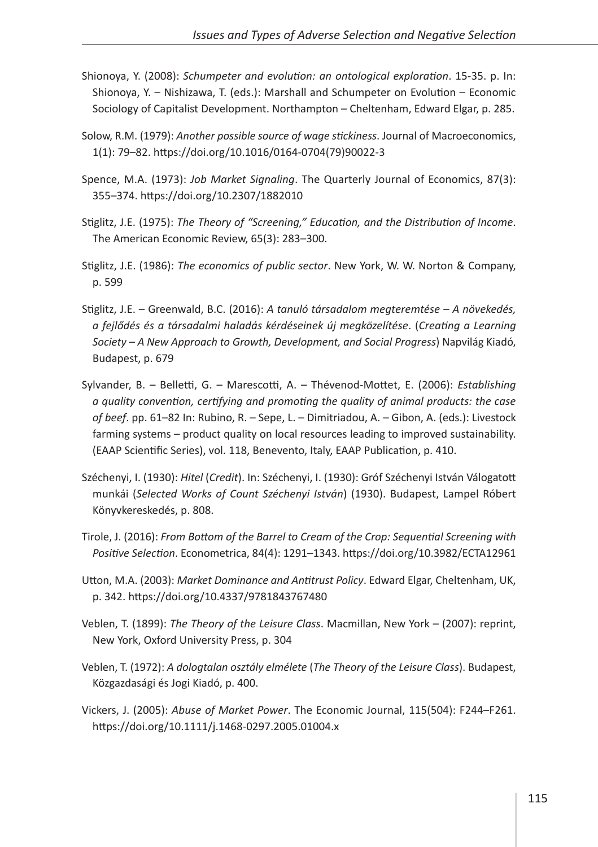- Shionoya, Y. (2008): *Schumpeter and evolution: an ontological exploration*. 15-35. p. In: Shionoya, Y. – Nishizawa, T. (eds.): Marshall and Schumpeter on Evolution – Economic Sociology of Capitalist Development. Northampton – Cheltenham, Edward Elgar, p. 285.
- Solow, R.M. (1979): *Another possible source of wage stickiness*. Journal of Macroeconomics, 1(1): 79–82. [https://doi.org/10.1016/0164-0704\(79\)90022-3](https://doi.org/10.1016/0164-0704(79)90022-3)
- Spence, M.A. (1973): *Job Market Signaling*. The Quarterly Journal of Economics, 87(3): 355–374. https://doi.org/10.2307/1882010
- Stiglitz, J.E. (1975): *The Theory of "Screening," Education, and the Distribution of Income*. The American Economic Review, 65(3): 283–300.
- Stiglitz, J.E. (1986): *The economics of public sector*. New York, W. W. Norton & Company, p. 599
- Stiglitz, J.E. Greenwald, B.C. (2016): *A tanuló társadalom megteremtése A növekedés, a fejlődés és a társadalmi haladás kérdéseinek új megközelítése*. (*Creating a Learning Society – A New Approach to Growth, Development, and Social Progress*) Napvilág Kiadó, Budapest, p. 679
- Sylvander, B. Belletti, G. Marescotti, A. Thévenod-Mottet, E. (2006): *Establishing a quality convention, certifying and promoting the quality of animal products: the case of beef*. pp. 61–82 In: Rubino, R. – Sepe, L. – Dimitriadou, A. – Gibon, A. (eds.): Livestock farming systems – product quality on local resources leading to improved sustainability. (EAAP Scientific Series), vol. 118, Benevento, Italy, EAAP Publication, p. 410.
- Széchenyi, I. (1930): *Hitel* (*Credit*). In: Széchenyi, I. (1930): Gróf Széchenyi István Válogatott munkái (*Selected Works of Count Széchenyi István*) (1930). Budapest, Lampel Róbert Könyvkereskedés, p. 808.
- Tirole, J. (2016): *From Bottom of the Barrel to Cream of the Crop: Sequential Screening with Positive Selection*. Econometrica, 84(4): 1291–1343.<https://doi.org/10.3982/ECTA12961>
- Utton, M.A. (2003): *Market Dominance and Antitrust Policy*. Edward Elgar, Cheltenham, UK, p. 342.<https://doi.org/10.4337/9781843767480>
- Veblen, T. (1899): *The Theory of the Leisure Class*. Macmillan, New York (2007): reprint, New York, Oxford University Press, p. 304
- Veblen, T. (1972): *A dologtalan osztály elmélete* (*The Theory of the Leisure Class*). Budapest, Közgazdasági és Jogi Kiadó, p. 400.
- Vickers, J. (2005): *Abuse of Market Power*. The Economic Journal, 115(504): F244–F261. <https://doi.org/10.1111/j.1468-0297.2005.01004.x>